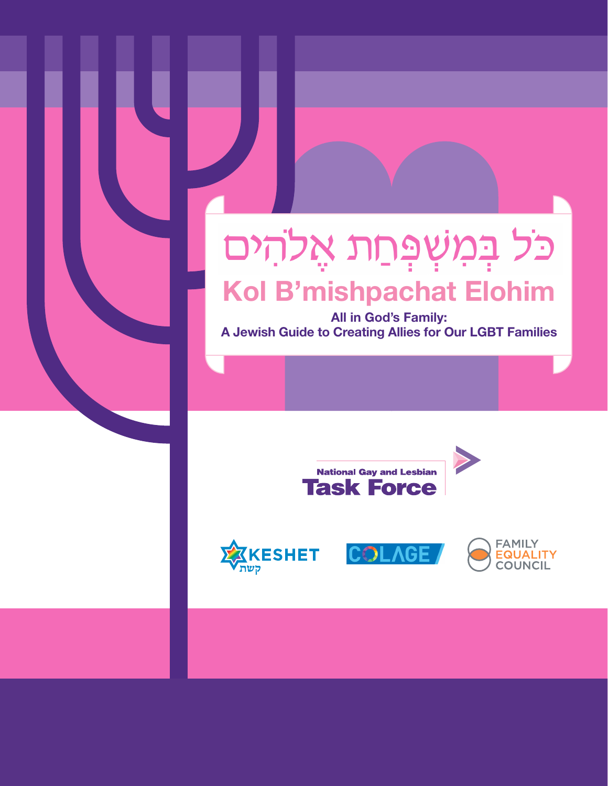## כֹּל בְּמִשְׁפְּחַת אֲלֹהִים Kol B'mishpachat Elohim

All in God's Family: A Jewish Guide to Creating Allies for Our LGBT Families







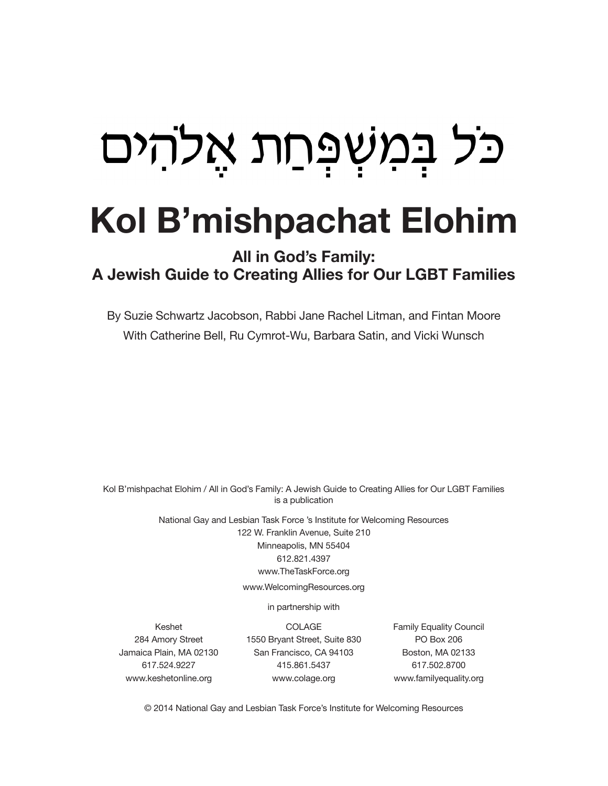# כל במשפחת אלהים

## Kol B'mishpachat Elohim

## All in God's Family: A Jewish Guide to Creating Allies for Our LGBT Families

By Suzie Schwartz Jacobson, Rabbi Jane Rachel Litman, and Fintan Moore With Catherine Bell, Ru Cymrot-Wu, Barbara Satin, and Vicki Wunsch

Kol B'mishpachat Elohim / All in God's Family: A Jewish Guide to Creating Allies for Our LGBT Families is a publication

> National Gay and Lesbian Task Force 's Institute for Welcoming Resources 122 W. Franklin Avenue, Suite 210 Minneapolis, MN 55404 612.821.4397 www.TheTaskForce.org

> > www.WelcomingResources.org

in partnership with

Keshet 284 Amory Street Jamaica Plain, MA 02130 617.524.9227 www.keshetonline.org

COLAGE 1550 Bryant Street, Suite 830 San Francisco, CA 94103 415.861.5437 www.colage.org

Family Equality Council PO Box 206 Boston, MA 02133 617.502.8700 www.familyequality.org

© 2014 National Gay and Lesbian Task Force's Institute for Welcoming Resources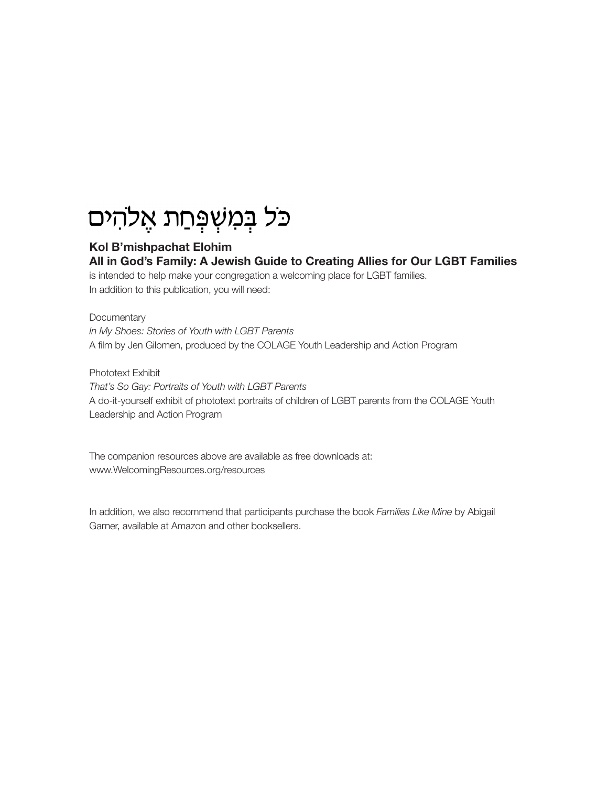## כל במשִפְחַת אֱלהִים

#### Kol B'mishpachat Elohim All in God's Family: A Jewish Guide to Creating Allies for Our LGBT Families

is intended to help make your congregation a welcoming place for LGBT families. In addition to this publication, you will need:

#### **Documentary**

*In My Shoes: Stories of Youth with LGBT Parents* A film by Jen Gilomen, produced by the COLAGE Youth Leadership and Action Program

Phototext Exhibit *That's So Gay: Portraits of Youth with LGBT Parents* A do-it-yourself exhibit of phototext portraits of children of LGBT parents from the COLAGE Youth Leadership and Action Program

The companion resources above are available as free downloads at: www.WelcomingResources.org/resources

In addition, we also recommend that participants purchase the book *Families Like Mine* by Abigail Garner, available at Amazon and other booksellers.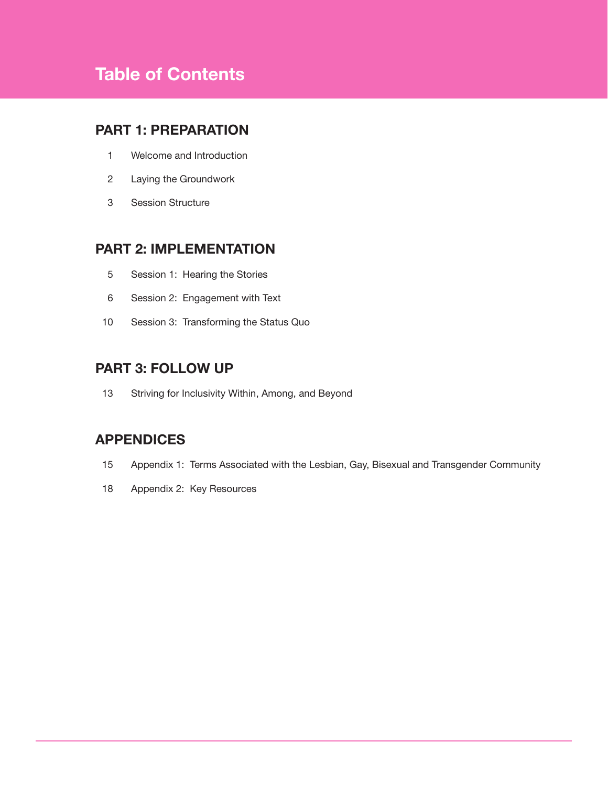## Table of Contents

### PART 1: PREPARATION

- Welcome and Introduction
- Laying the Groundwork
- Session Structure

### PART 2: IMPLEMENTATION

- Session 1: Hearing the Stories
- Session 2: Engagement with Text
- Session 3: Transforming the Status Quo

#### PART 3: FOLLOW UP

Striving for Inclusivity Within, Among, and Beyond

#### APPENDICES

- Appendix 1: Terms Associated with the Lesbian, Gay, Bisexual and Transgender Community
- Appendix 2: Key Resources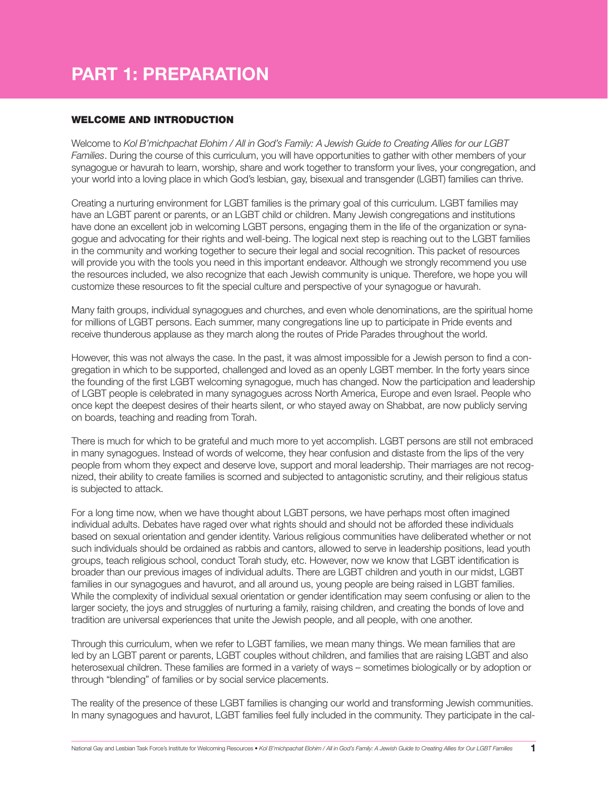## PART 1: PREPARATION

#### WELCOME AND INTRODUCTION

Welcome to *Kol B'michpachat Elohim / All in God's Family: A Jewish Guide to Creating Allies for our LGBT Families*. During the course of this curriculum, you will have opportunities to gather with other members of your synagogue or havurah to learn, worship, share and work together to transform your lives, your congregation, and your world into a loving place in which God's lesbian, gay, bisexual and transgender (LGBT) families can thrive.

Creating a nurturing environment for LGBT families is the primary goal of this curriculum. LGBT families may have an LGBT parent or parents, or an LGBT child or children. Many Jewish congregations and institutions have done an excellent job in welcoming LGBT persons, engaging them in the life of the organization or synagogue and advocating for their rights and well-being. The logical next step is reaching out to the LGBT families in the community and working together to secure their legal and social recognition. This packet of resources will provide you with the tools you need in this important endeavor. Although we strongly recommend you use the resources included, we also recognize that each Jewish community is unique. Therefore, we hope you will customize these resources to fit the special culture and perspective of your synagogue or havurah.

Many faith groups, individual synagogues and churches, and even whole denominations, are the spiritual home for millions of LGBT persons. Each summer, many congregations line up to participate in Pride events and receive thunderous applause as they march along the routes of Pride Parades throughout the world.

However, this was not always the case. In the past, it was almost impossible for a Jewish person to find a congregation in which to be supported, challenged and loved as an openly LGBT member. In the forty years since the founding of the first LGBT welcoming synagogue, much has changed. Now the participation and leadership of LGBT people is celebrated in many synagogues across North America, Europe and even Israel. People who once kept the deepest desires of their hearts silent, or who stayed away on Shabbat, are now publicly serving on boards, teaching and reading from Torah.

There is much for which to be grateful and much more to yet accomplish. LGBT persons are still not embraced in many synagogues. Instead of words of welcome, they hear confusion and distaste from the lips of the very people from whom they expect and deserve love, support and moral leadership. Their marriages are not recognized, their ability to create families is scorned and subjected to antagonistic scrutiny, and their religious status is subjected to attack.

For a long time now, when we have thought about LGBT persons, we have perhaps most often imagined individual adults. Debates have raged over what rights should and should not be afforded these individuals based on sexual orientation and gender identity. Various religious communities have deliberated whether or not such individuals should be ordained as rabbis and cantors, allowed to serve in leadership positions, lead youth groups, teach religious school, conduct Torah study, etc. However, now we know that LGBT identification is broader than our previous images of individual adults. There are LGBT children and youth in our midst, LGBT families in our synagogues and havurot, and all around us, young people are being raised in LGBT families. While the complexity of individual sexual orientation or gender identification may seem confusing or alien to the larger society, the joys and struggles of nurturing a family, raising children, and creating the bonds of love and tradition are universal experiences that unite the Jewish people, and all people, with one another.

Through this curriculum, when we refer to LGBT families, we mean many things. We mean families that are led by an LGBT parent or parents, LGBT couples without children, and families that are raising LGBT and also heterosexual children. These families are formed in a variety of ways – sometimes biologically or by adoption or through "blending" of families or by social service placements.

The reality of the presence of these LGBT families is changing our world and transforming Jewish communities. In many synagogues and havurot, LGBT families feel fully included in the community. They participate in the cal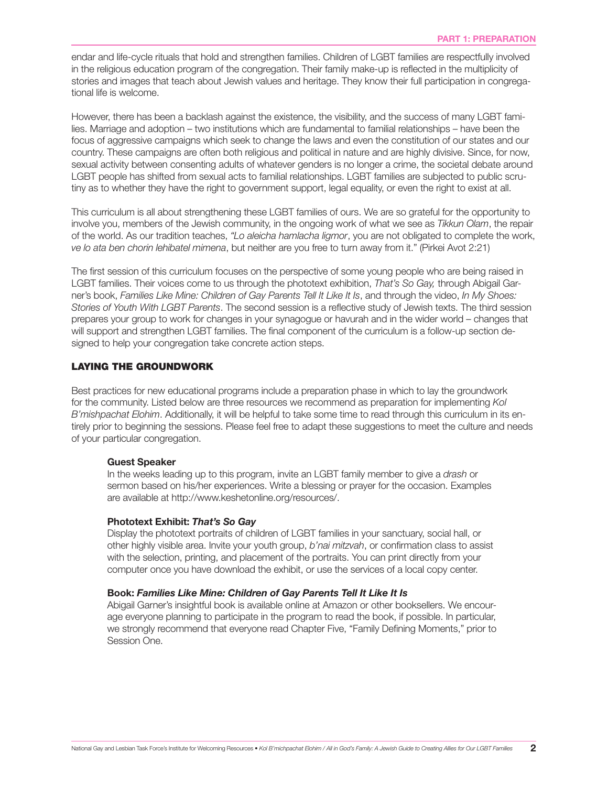endar and life-cycle rituals that hold and strengthen families. Children of LGBT families are respectfully involved in the religious education program of the congregation. Their family make-up is reflected in the multiplicity of stories and images that teach about Jewish values and heritage. They know their full participation in congregational life is welcome.

However, there has been a backlash against the existence, the visibility, and the success of many LGBT families. Marriage and adoption – two institutions which are fundamental to familial relationships – have been the focus of aggressive campaigns which seek to change the laws and even the constitution of our states and our country. These campaigns are often both religious and political in nature and are highly divisive. Since, for now, sexual activity between consenting adults of whatever genders is no longer a crime, the societal debate around LGBT people has shifted from sexual acts to familial relationships. LGBT families are subjected to public scrutiny as to whether they have the right to government support, legal equality, or even the right to exist at all.

This curriculum is all about strengthening these LGBT families of ours. We are so grateful for the opportunity to involve you, members of the Jewish community, in the ongoing work of what we see as *Tikkun Olam*, the repair of the world. As our tradition teaches, *"Lo aleicha hamlacha ligmor*, you are not obligated to complete the work, *ve lo ata ben chorin lehibatel mimena*, but neither are you free to turn away from it." (Pirkei Avot 2:21)

The first session of this curriculum focuses on the perspective of some young people who are being raised in LGBT families. Their voices come to us through the phototext exhibition, *That's So Gay,* through Abigail Garner's book, *Families Like Mine: Children of Gay Parents Tell It Like It Is*, and through the video, *In My Shoes: Stories of Youth With LGBT Parents*. The second session is a reflective study of Jewish texts. The third session prepares your group to work for changes in your synagogue or havurah and in the wider world – changes that will support and strengthen LGBT families. The final component of the curriculum is a follow-up section designed to help your congregation take concrete action steps.

#### LAYING THE GROUNDWORK

Best practices for new educational programs include a preparation phase in which to lay the groundwork for the community. Listed below are three resources we recommend as preparation for implementing *Kol B'mishpachat Elohim*. Additionally, it will be helpful to take some time to read through this curriculum in its entirely prior to beginning the sessions. Please feel free to adapt these suggestions to meet the culture and needs of your particular congregation.

#### Guest Speaker

In the weeks leading up to this program, invite an LGBT family member to give a *drash* or sermon based on his/her experiences. Write a blessing or prayer for the occasion. Examples are available at http://www.keshetonline.org/resources/.

#### Phototext Exhibit: *That's So Gay*

Display the phototext portraits of children of LGBT families in your sanctuary, social hall, or other highly visible area. Invite your youth group, *b'nai mitzvah*, or confirmation class to assist with the selection, printing, and placement of the portraits. You can print directly from your computer once you have download the exhibit, or use the services of a local copy center.

#### Book: *Families Like Mine: Children of Gay Parents Tell It Like It Is*

Abigail Garner's insightful book is available online at Amazon or other booksellers. We encourage everyone planning to participate in the program to read the book, if possible. In particular, we strongly recommend that everyone read Chapter Five, "Family Defining Moments," prior to Session One.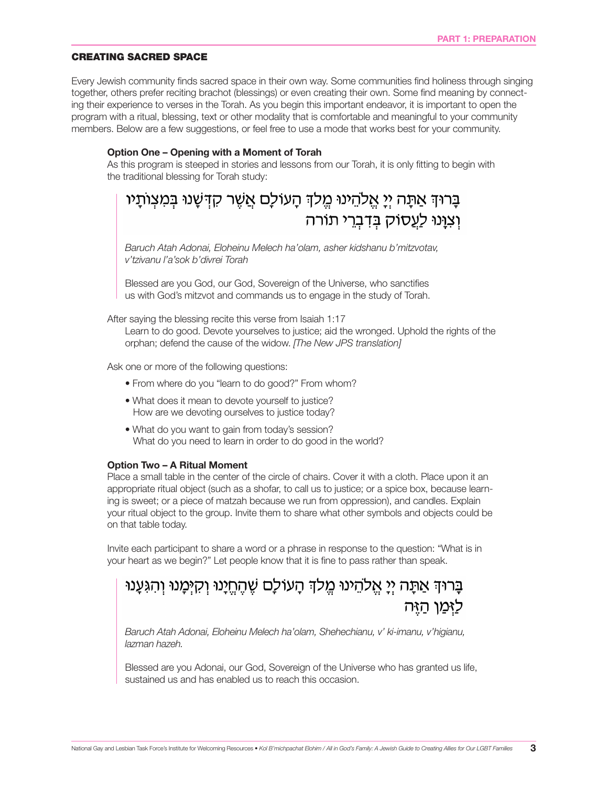#### CREATING SACRED SPACE

Every Jewish community finds sacred space in their own way. Some communities find holiness through singing together, others prefer reciting brachot (blessings) or even creating their own. Some find meaning by connecting their experience to verses in the Torah. As you begin this important endeavor, it is important to open the program with a ritual, blessing, text or other modality that is comfortable and meaningful to your community members. Below are a few suggestions, or feel free to use a mode that works best for your community.

#### Option One – Opening with a Moment of Torah

As this program is steeped in stories and lessons from our Torah, it is only fitting to begin with the traditional blessing for Torah study:

## בָרוּךְ אַתָּה יְיָ אֱלֹהֵינוּ מֱלֹךְ הָעוֹלָם אֲשֶׁר קִדְּשָׁנוּ בְּמִצְוֹתָיו וְצְוַּנוּ לַעֲסוֹק בִּדְבְרֵי תוֹרה

*Baruch Atah Adonai, Eloheinu Melech ha'olam, asher kidshanu b'mitzvotav, v'tzivanu l'a'sok b'divrei Torah*

Blessed are you God, our God, Sovereign of the Universe, who sanctifies us with God's mitzvot and commands us to engage in the study of Torah.

After saying the blessing recite this verse from Isaiah 1:17

Learn to do good. Devote yourselves to justice; aid the wronged. Uphold the rights of the orphan; defend the cause of the widow. *[The New JPS translation]*

Ask one or more of the following questions:

- From where do you "learn to do good?" From whom?
- What does it mean to devote yourself to justice? How are we devoting ourselves to justice today?
- What do you want to gain from today's session? What do you need to learn in order to do good in the world?

#### Option Two – A Ritual Moment

Place a small table in the center of the circle of chairs. Cover it with a cloth. Place upon it an appropriate ritual object (such as a shofar, to call us to justice; or a spice box, because learning is sweet; or a piece of matzah because we run from oppression), and candles. Explain your ritual object to the group. Invite them to share what other symbols and objects could be on that table today.

Invite each participant to share a word or a phrase in response to the question: "What is in your heart as we begin?" Let people know that it is fine to pass rather than speak.

## בַּרוּדְ אַתַּה יִיַ אֱלֹהֵינוּ מֱלֹדְּ הַעוֹלַם שֶׁהַחֲיַנוּ וְקִיָּמֲנוּ וְהִגְּעָנוּ לימו היה

*Baruch Atah Adonai, Eloheinu Melech ha'olam, Shehechianu, v' ki-imanu, v'higianu, lazman hazeh.*

Blessed are you Adonai, our God, Sovereign of the Universe who has granted us life, sustained us and has enabled us to reach this occasion.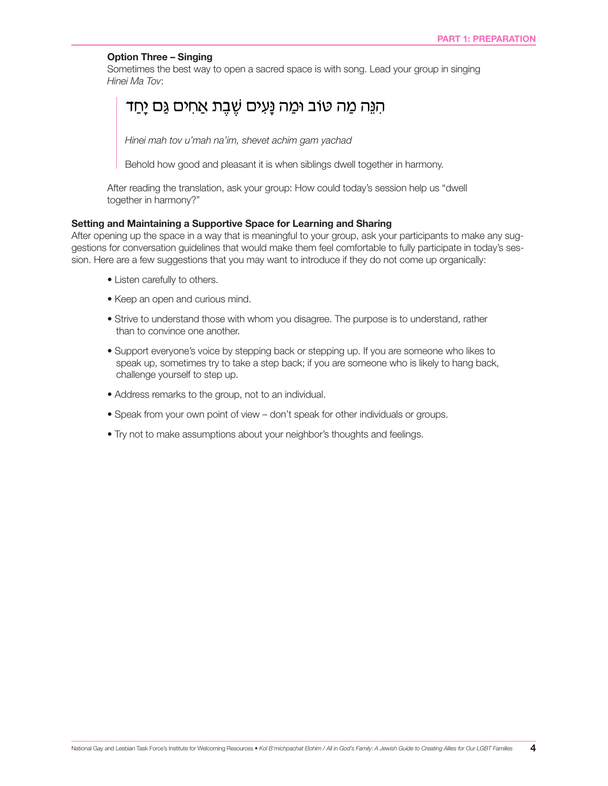#### Option Three – Singing

Sometimes the best way to open a sacred space is with song. Lead your group in singing *Hinei Ma Tov*:

### ּהִנֵּה מַה טוֹב וּמַה נָּעִים שֶׁבֶת אַחִים גַּם יָחַד

*Hinei mah tov u'mah na'im, shevet achim gam yachad*

Behold how good and pleasant it is when siblings dwell together in harmony.

After reading the translation, ask your group: How could today's session help us "dwell together in harmony?"

#### Setting and Maintaining a Supportive Space for Learning and Sharing

After opening up the space in a way that is meaningful to your group, ask your participants to make any suggestions for conversation guidelines that would make them feel comfortable to fully participate in today's session. Here are a few suggestions that you may want to introduce if they do not come up organically:

- Listen carefully to others.
- Keep an open and curious mind.
- Strive to understand those with whom you disagree. The purpose is to understand, rather than to convince one another.
- Support everyone's voice by stepping back or stepping up. If you are someone who likes to speak up, sometimes try to take a step back; if you are someone who is likely to hang back, challenge yourself to step up.
- Address remarks to the group, not to an individual.
- Speak from your own point of view don't speak for other individuals or groups.
- Try not to make assumptions about your neighbor's thoughts and feelings.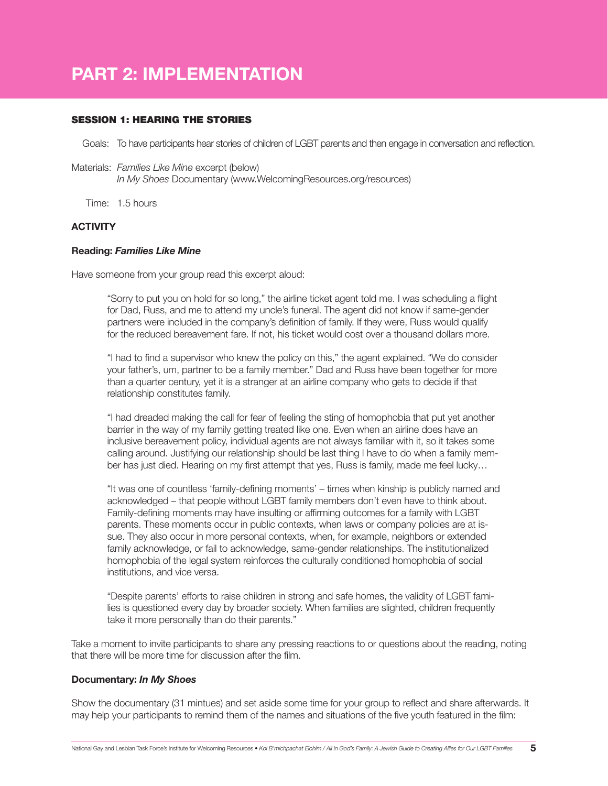## PART 2: IMPLEMENTATION

#### SESSION 1: HEARING THE STORIES

Goals: To have participants hear stories of children of LGBT parents and then engage in conversation and reflection.

- Materials: *Families Like Mine* excerpt (below) *In My Shoes* Documentary (www.WelcomingResources.org/resources)
	- Time: 1.5 hours

#### **ACTIVITY**

#### Reading: *Families Like Mine*

Have someone from your group read this excerpt aloud:

"Sorry to put you on hold for so long," the airline ticket agent told me. I was scheduling a flight for Dad, Russ, and me to attend my uncle's funeral. The agent did not know if same-gender partners were included in the company's definition of family. If they were, Russ would qualify for the reduced bereavement fare. If not, his ticket would cost over a thousand dollars more.

"I had to find a supervisor who knew the policy on this," the agent explained. "We do consider your father's, um, partner to be a family member." Dad and Russ have been together for more than a quarter century, yet it is a stranger at an airline company who gets to decide if that relationship constitutes family.

"I had dreaded making the call for fear of feeling the sting of homophobia that put yet another barrier in the way of my family getting treated like one. Even when an airline does have an inclusive bereavement policy, individual agents are not always familiar with it, so it takes some calling around. Justifying our relationship should be last thing I have to do when a family member has just died. Hearing on my first attempt that yes, Russ is family, made me feel lucky…

"It was one of countless 'family-defining moments' – times when kinship is publicly named and acknowledged – that people without LGBT family members don't even have to think about. Family-defining moments may have insulting or affirming outcomes for a family with LGBT parents. These moments occur in public contexts, when laws or company policies are at issue. They also occur in more personal contexts, when, for example, neighbors or extended family acknowledge, or fail to acknowledge, same-gender relationships. The institutionalized homophobia of the legal system reinforces the culturally conditioned homophobia of social institutions, and vice versa.

"Despite parents' efforts to raise children in strong and safe homes, the validity of LGBT families is questioned every day by broader society. When families are slighted, children frequently take it more personally than do their parents."

Take a moment to invite participants to share any pressing reactions to or questions about the reading, noting that there will be more time for discussion after the film.

#### Documentary: *In My Shoes*

Show the documentary (31 mintues) and set aside some time for your group to reflect and share afterwards. It may help your participants to remind them of the names and situations of the five youth featured in the film: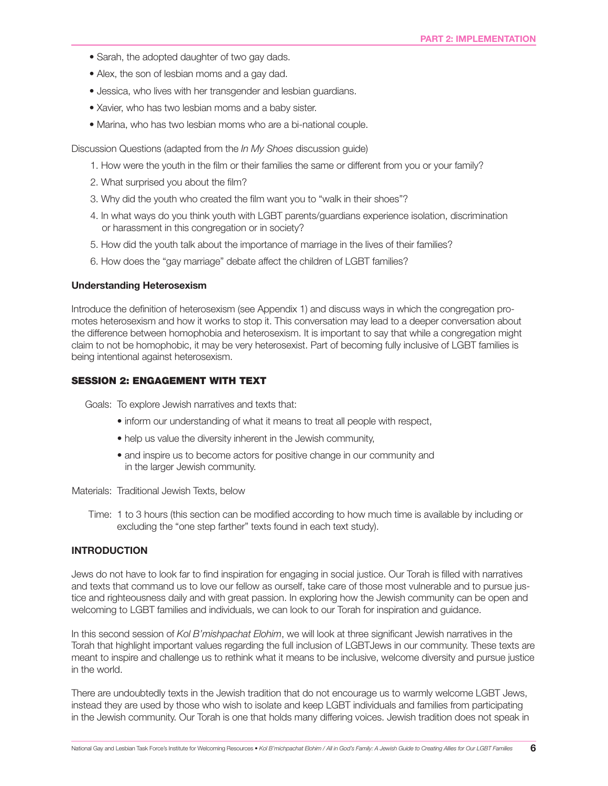- Sarah, the adopted daughter of two gay dads.
- Alex, the son of lesbian moms and a gay dad.
- Jessica, who lives with her transgender and lesbian guardians.
- Xavier, who has two lesbian moms and a baby sister.
- Marina, who has two lesbian moms who are a bi-national couple.

Discussion Questions (adapted from the *In My Shoes* discussion guide)

- 1. How were the youth in the film or their families the same or different from you or your family?
- 2. What surprised you about the film?
- 3. Why did the youth who created the film want you to "walk in their shoes"?
- 4. In what ways do you think youth with LGBT parents/guardians experience isolation, discrimination or harassment in this congregation or in society?
- 5. How did the youth talk about the importance of marriage in the lives of their families?
- 6. How does the "gay marriage" debate affect the children of LGBT families?

#### Understanding Heterosexism

Introduce the definition of heterosexism (see Appendix 1) and discuss ways in which the congregation promotes heterosexism and how it works to stop it. This conversation may lead to a deeper conversation about the difference between homophobia and heterosexism. It is important to say that while a congregation might claim to not be homophobic, it may be very heterosexist. Part of becoming fully inclusive of LGBT families is being intentional against heterosexism.

#### SESSION 2: ENGAGEMENT WITH TEXT

Goals: To explore Jewish narratives and texts that:

- inform our understanding of what it means to treat all people with respect,
- help us value the diversity inherent in the Jewish community,
- and inspire us to become actors for positive change in our community and in the larger Jewish community.

Materials: Traditional Jewish Texts, below

Time: 1 to 3 hours (this section can be modified according to how much time is available by including or excluding the "one step farther" texts found in each text study).

#### INTRODUCTION

Jews do not have to look far to find inspiration for engaging in social justice. Our Torah is filled with narratives and texts that command us to love our fellow as ourself, take care of those most vulnerable and to pursue justice and righteousness daily and with great passion. In exploring how the Jewish community can be open and welcoming to LGBT families and individuals, we can look to our Torah for inspiration and guidance.

In this second session of *Kol B'mishpachat Elohim*, we will look at three significant Jewish narratives in the Torah that highlight important values regarding the full inclusion of LGBTJews in our community. These texts are meant to inspire and challenge us to rethink what it means to be inclusive, welcome diversity and pursue justice in the world.

There are undoubtedly texts in the Jewish tradition that do not encourage us to warmly welcome LGBT Jews, instead they are used by those who wish to isolate and keep LGBT individuals and families from participating in the Jewish community. Our Torah is one that holds many differing voices. Jewish tradition does not speak in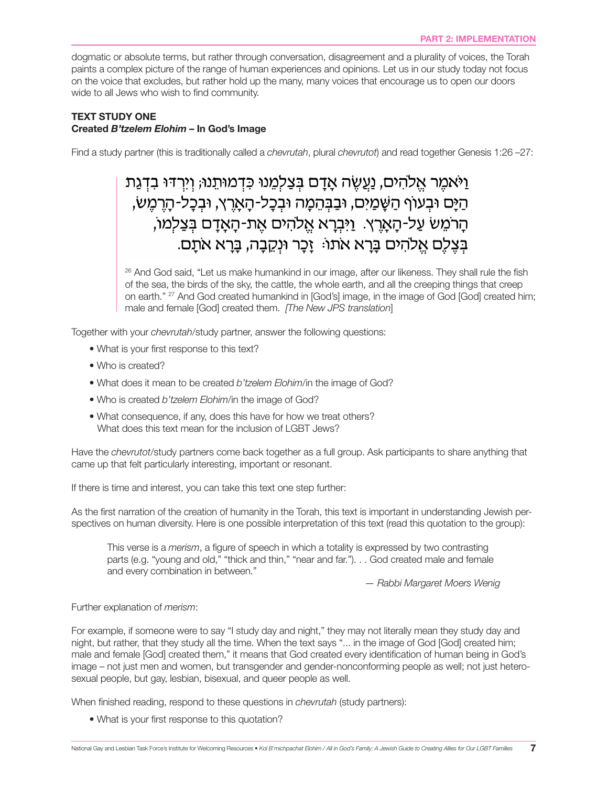dogmatic or absolute terms, but rather through conversation, disagreement and a plurality of voices, the Torah paints a complex picture of the range of human experiences and opinions. Let us in our study today not focus on the voice that excludes, but rather hold up the many, many voices that encourage us to open our doors wide to all Jews who wish to find community.

#### TEXT STUDY ONE Created *B'tzelem Elohim* – In God's Image

Find a study partner (this is traditionally called a *chevrutah*, plural *chevrutot*) and read together Genesis 1:26 –27:

## וַיֹּאמֶר אֱלֹהִים, נַעֲשֶׂה אֲדַם בִּצַלְמֶנוּ כִּדְמוּתֵנוּ; וְיִרְדּוּ בִדְגַת ּהַיָּם וּבִעוֹף הַשַּׁמַיִם, וּבַבְּהֵמָה וּבִכָּל-הָאָרֵץ, וּבִכָּל-הָרֵמֵשׂ, הָרֹמֵשׂ עַל-הָאָרֵץ. וַיִּבְרָא אֱלֹהִים אֵת-הָאָדָם בִּצַלְמוֹ, בִּצֶלֶם אֱלֹהִים בַּרָא אֹתוֹּ: זָכָר וּנְקֶבָה, בַּרָא אֹתַם.

<sup>26</sup> And God said, "Let us make humankind in our image, after our likeness. They shall rule the fish of the sea, the birds of the sky, the cattle, the whole earth, and all the creeping things that creep on earth." 27 And God created humankind in [God's] image, in the image of God [God] created him; male and female [God] created them. *[The New JPS translation*]

Together with your *chevrutah*/study partner, answer the following questions:

- What is your first response to this text?
- Who is created?
- What does it mean to be created *b'tzelem Elohim*/in the image of God?
- Who is created *b'tzelem Elohim*/in the image of God?
- What consequence, if any, does this have for how we treat others? What does this text mean for the inclusion of LGBT Jews?

Have the *chevrutot*/study partners come back together as a full group. Ask participants to share anything that came up that felt particularly interesting, important or resonant.

If there is time and interest, you can take this text one step further:

As the first narration of the creation of humanity in the Torah, this text is important in understanding Jewish perspectives on human diversity. Here is one possible interpretation of this text (read this quotation to the group):

This verse is a *merism*, a figure of speech in which a totality is expressed by two contrasting parts (e.g. "young and old," "thick and thin," "near and far."). . . God created male and female and every combination in between."

*— Rabbi Margaret Moers Wenig*

#### Further explanation of *merism*:

For example, if someone were to say "I study day and night," they may not literally mean they study day and night, but rather, that they study all the time. When the text says "... in the image of God [God] created him; male and female [God] created them," it means that God created every identification of human being in God's image – not just men and women, but transgender and gender-nonconforming people as well; not just heterosexual people, but gay, lesbian, bisexual, and queer people as well.

When finished reading, respond to these questions in *chevrutah* (study partners):

• What is your first response to this quotation?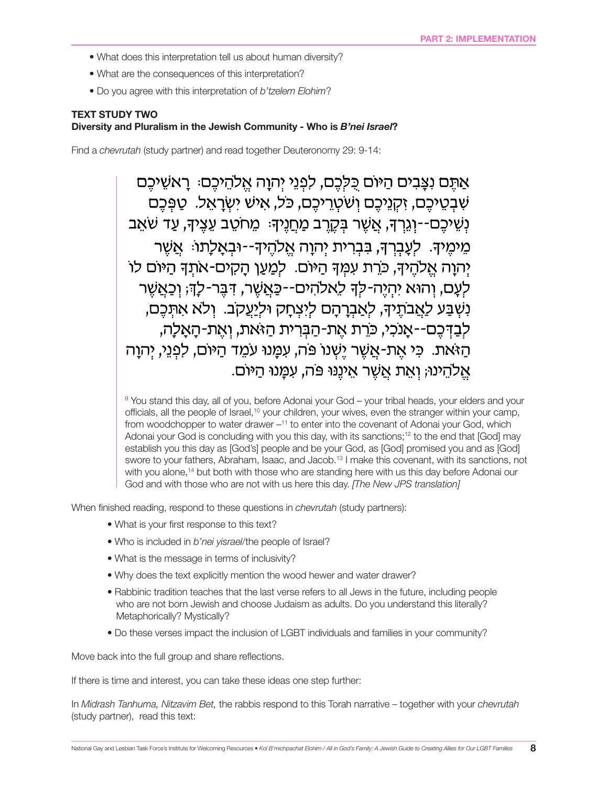- What does this interpretation tell us about human diversity?
- What are the consequences of this interpretation?
- Do you agree with this interpretation of *b'tzelem Elohim*?

#### TEXT STUDY TWO Diversity and Pluralism in the Jewish Community - Who is *B'nei Israel*?

Find a *chevrutah* (study partner) and read together Deuteronomy 29: 9-14:

אַתֵּם נִצֲבִים הַיּוֹם כִּלְכֶם, לִפְנֵי יְהוַה אֱלֹהֵיכֶם: רֵאשֵׁיכֶם שִׁבְטֵיכֶם, זְקְנֵיכֶם וְשֹׁטְרֵיכֶם, כֹּל, אִישׁ יְשְׂרָאֱל. טַפְּכֶם ַנְשֵׁיכֵם--וְגֶרְךָ, אֲשֶׁר בְּקֶרֶב מַחֲנֵיךָּ: מֵחֹטֵב עֵצֵיךָ, עַד שֹׁאֵב ּמֵימֵיךָּ. לְעֲבָרֶךָּ, בְּבְרִית יְהוַה אֱלֹהֵיךָ--וּבְאֲלַתוּׂ: אֲשֶׁר יְהוַה אֱלֹהֶיךָ, כֹּרֶת עִמְךָּ הַיּוֹם. לִמַּעֲן הַקִים-אֹתִךְ הַיּוֹם לוֹ לְעָם, וְהוּא יִהְיֵה-לִדְ לִאלֹהִים--כַּאֲשֶׁר, דְּבֵּר-לָדְּ; וְכַאֲשֶׁר ִנְשְׁבַּע לַאֲבֹתֵיךָ, לְאֲבִרָהָם לִיִצְחָק וּלִיַעֲקֹב. וְלֹא אִתְּבֵם, לִבַדְּכֵם--אָנֹכִי, כֹּרֵת אֵת-הַבְּרִית הַזֹּאת, וְאֵת-הָאָלָה, ּהַזֹּאַת. כִּי אֶת-אֲשֶׁר יֵשְׁנוֹ פֹּה, עִמֲנוּ עֹמֶד הַיּוֹם, לִפְנֵי, יִהְוַה אֱלֹהֵינוּ; וְאֶת אֱשֶׁר אֱינֶנוּ פּה, עְמַנוּ הַיּוֹם.

<sup>9</sup> You stand this day, all of you, before Adonai your God – your tribal heads, your elders and your officials, all the people of Israel,10 your children, your wives, even the stranger within your camp, from woodchopper to water drawer  $-11$  to enter into the covenant of Adonai your God, which Adonai your God is concluding with you this day, with its sanctions;<sup>12</sup> to the end that [God] may establish you this day as [God's] people and be your God, as [God] promised you and as [God] swore to your fathers, Abraham, Isaac, and Jacob.13 I make this covenant, with its sanctions, not with you alone,<sup>14</sup> but both with those who are standing here with us this day before Adonai our God and with those who are not with us here this day. *[The New JPS translation]*

When finished reading, respond to these questions in *chevrutah* (study partners):

- What is your first response to this text?
- Who is included in *b'nei yisrael*/the people of Israel?
- What is the message in terms of inclusivity?
- Why does the text explicitly mention the wood hewer and water drawer?
- Rabbinic tradition teaches that the last verse refers to all Jews in the future, including people who are not born Jewish and choose Judaism as adults. Do you understand this literally? Metaphorically? Mystically?
- Do these verses impact the inclusion of LGBT individuals and families in your community?

Move back into the full group and share reflections.

If there is time and interest, you can take these ideas one step further:

In *Midrash Tanhuma, Nitzavim Bet,* the rabbis respond to this Torah narrative – together with your *chevrutah* (study partner), read this text: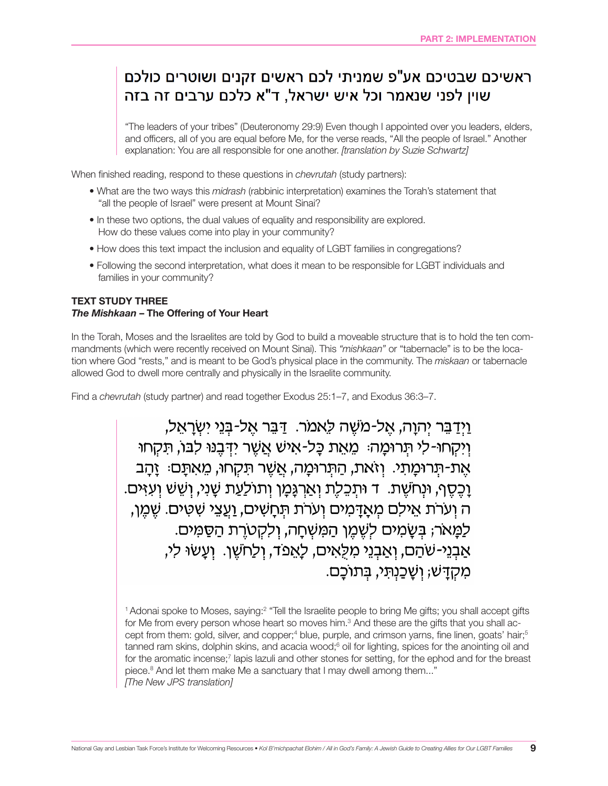## ראשיכם שבטיכם אע"פ שמניתי לכם ראשים זקנים ושוטרים כולכם שוין לפני שנאמר וכל איש ישראל, ד"א כלכם ערבים זה בזה

"The leaders of your tribes" (Deuteronomy 29:9) Even though I appointed over you leaders, elders, and officers, all of you are equal before Me, for the verse reads, "All the people of Israel." Another explanation: You are all responsible for one another. *[translation by Suzie Schwartz]*

When finished reading, respond to these questions in *chevrutah* (study partners):

- What are the two ways this *midrash* (rabbinic interpretation) examines the Torah's statement that "all the people of Israel" were present at Mount Sinai?
- In these two options, the dual values of equality and responsibility are explored. How do these values come into play in your community?
- How does this text impact the inclusion and equality of LGBT families in congregations?
- Following the second interpretation, what does it mean to be responsible for LGBT individuals and families in your community?

#### TEXT STUDY THREE *The Mishkaan* – The Offering of Your Heart

In the Torah, Moses and the Israelites are told by God to build a moveable structure that is to hold the ten commandments (which were recently received on Mount Sinai). This *"mishkaan"* or "tabernacle" is to be the location where God "rests," and is meant to be God's physical place in the community. The *miskaan* or tabernacle allowed God to dwell more centrally and physically in the Israelite community.

Find a *chevrutah* (study partner) and read together Exodus 25:1–7, and Exodus 36:3–7.

וידבר יהוה, אל-משה לאמר. דבר אל-בני ישראל, וַיִּקְחוּ-לִי תְּרוּמַה: מֵאֵת כַּל-אִישׁ אֲשֶׁר יִדְּבֵנּוּ לְבּוֹ, תִּקְחוּ אַת-תִּרוּמַתִי. וְזֹאת, הַתְּרוּמַה, אֲשֶׁר תַּקְחוּ, מֵאִתַּם: זַהַב ַוְכֵסֵף, וּנְחֹשֵׁת. ד וּתְכֵלֶת וְאַרְגַּמַן וְתוֹלַעֲת שַׁנִי, וְשֵׁשׁ וְעָזִּים. ה וְעֹרֹת אֵילִם מְאַדַּמִים וְעֹרֹת תְּחַשִּׁים, וַעֲצֵי שִׁטִּים. שֵׁמֵן, לַמַּאֹר; בִּשָּׂמִים לְשֶׁמֵן הַמִּשְׁחָה, וְלִקְטֹרֵת הַסַּמִּים. אַבְנֵי-שֹׁהַם, וְאַבְנֵי מִלְאִים, לָאֵפֹד, וְלַחֹשֵׁן. וְעָשׂוּ לִי, מִקְדַּשׁ; וְשַׁכְנְתֵּי, בִּתוֹכֶם.

 $1$ Adonai spoke to Moses, saying: $2$  "Tell the Israelite people to bring Me gifts; you shall accept gifts for Me from every person whose heart so moves him. ${}^{3}$  And these are the gifts that you shall accept from them: gold, silver, and copper;<sup>4</sup> blue, purple, and crimson yarns, fine linen, goats' hair;<sup>5</sup> tanned ram skins, dolphin skins, and acacia wood;<sup>6</sup> oil for lighting, spices for the anointing oil and for the aromatic incense;<sup>7</sup> lapis lazuli and other stones for setting, for the ephod and for the breast piece.8 And let them make Me a sanctuary that I may dwell among them..." *[The New JPS translation]*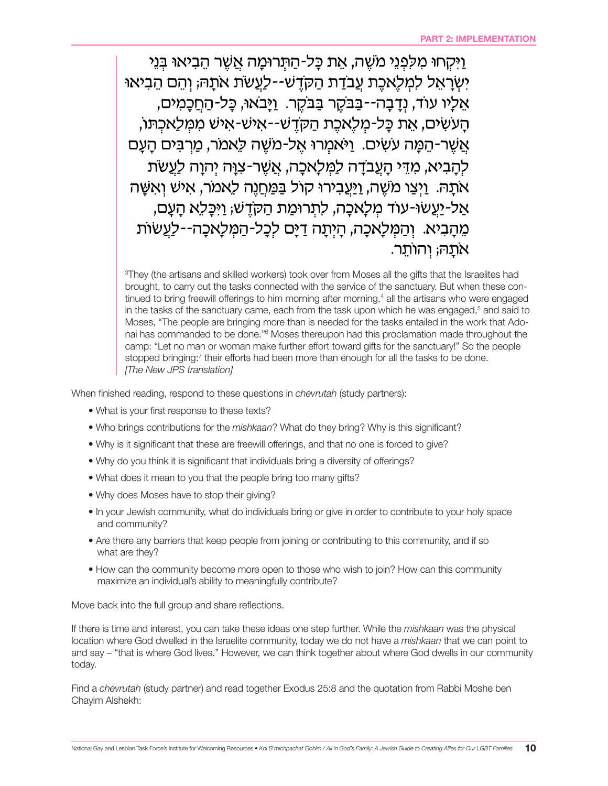ויקחו מלפני משה, את כל-התרומה אשר הביאוּ בני יְשְׂרַאֵל לְמִלְאִכֶת עֲבֹדָת הַקְדֵשׁ--לָעֲשׂת אֹתַהּ; וְהֵם הֵבִיאוּ אֵלֵיו עוֹד, וְדַבָה--בַּבֹּקֶר בַּבֹּקֶר. וַיַּבֹאוּ, כַּל-הַחֲכָמִים, הַעֹשִׂים, אֵת כַּל-מְלֵאְכֶת הַקְדֵשׁ--אִישׁ-אִישׁ מִמְּלַאְכְתּוֹ, אֲשֶׁר-הֵמָּה עֹשִׂים. וַיֹּאמִרוּ אֵל-מֹשֵׁה לֵאמֹר, מַרְבִּים הָעָם לְהָבִיא, מִדֵּי הָעֲבֹדָה לַמְּלָאכָה, אֲשֶׁר-צִוָּּה יִהְוָה לַעֲשֹׂת אֹתַהּ. וַיִּצַו מֹשֶׁה, וַיַּעֲבִירוּ קוֹל בַּמַּחֲנֶה לֵאמֹר, אִישׁ וְאִשָּׁה אַל-יַעֲשׂוּ-עוֹד מִלַאכַה, לְתִרוּמַת הַקֹּדֵשׁ; וַיִּכַּלְא הַעֲם, מֶהָבִיא. וְהַמְּלָאכָה, הַיִּתַה דַיַּם לְכָל-הַמְּלַאכָה--לַעֲשׂוֹת אתַה; וְהוֹתֵר.

3 They (the artisans and skilled workers) took over from Moses all the gifts that the Israelites had brought, to carry out the tasks connected with the service of the sanctuary. But when these continued to bring freewill offerings to him morning after morning,<sup>4</sup> all the artisans who were engaged in the tasks of the sanctuary came, each from the task upon which he was engaged,<sup>5</sup> and said to Moses, "The people are bringing more than is needed for the tasks entailed in the work that Adonai has commanded to be done."<sup>6</sup> Moses thereupon had this proclamation made throughout the camp: "Let no man or woman make further effort toward gifts for the sanctuary!" So the people stopped bringing:<sup>7</sup> their efforts had been more than enough for all the tasks to be done. *[The New JPS translation]*

When finished reading, respond to these questions in *chevrutah* (study partners):

- What is your first response to these texts?
- Who brings contributions for the *mishkaan*? What do they bring? Why is this significant?
- Why is it significant that these are freewill offerings, and that no one is forced to give?
- Why do you think it is significant that individuals bring a diversity of offerings?
- What does it mean to you that the people bring too many gifts?
- Why does Moses have to stop their giving?
- In your Jewish community, what do individuals bring or give in order to contribute to your holy space and community?
- Are there any barriers that keep people from joining or contributing to this community, and if so what are they?
- How can the community become more open to those who wish to join? How can this community maximize an individual's ability to meaningfully contribute?

Move back into the full group and share reflections.

If there is time and interest, you can take these ideas one step further. While the *mishkaan* was the physical location where God dwelled in the Israelite community, today we do not have a *mishkaan* that we can point to and say – "that is where God lives." However, we can think together about where God dwells in our community today.

Find a *chevrutah* (study partner) and read together Exodus 25:8 and the quotation from Rabbi Moshe ben Chayim Alshekh: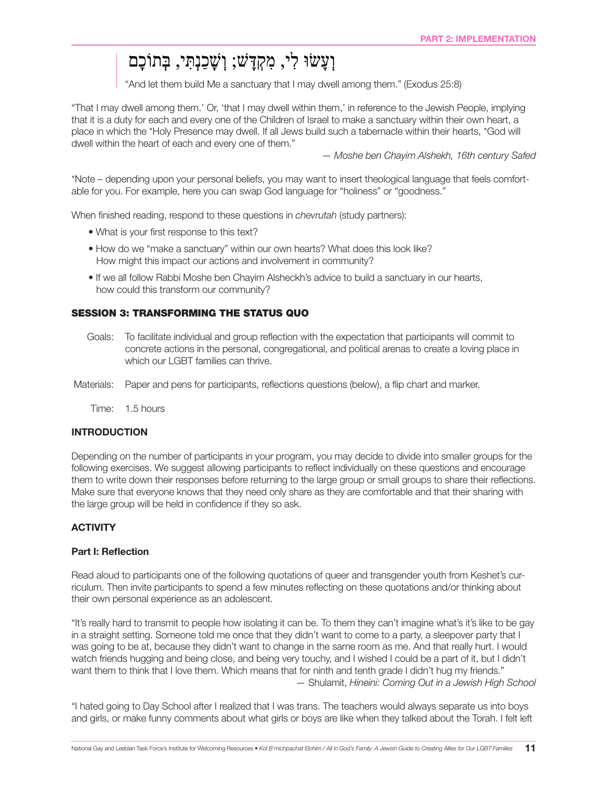## וְעָשׂוּ לִי, מִקְדָּשׁ; וְשָׁכַנְתִּי, בְּתוֹכָם

"And let them build Me a sanctuary that I may dwell among them." (Exodus 25:8)

"That I may dwell among them.' Or, 'that I may dwell within them,' in reference to the Jewish People, implying that it is a duty for each and every one of the Children of Israel to make a sanctuary within their own heart, a place in which the \*Holy Presence may dwell. If all Jews build such a tabernacle within their hearts, \*God will dwell within the heart of each and every one of them."

*— Moshe ben Chayim Alshekh, 16th century Safed*

\*Note – depending upon your personal beliefs, you may want to insert theological language that feels comfortable for you. For example, here you can swap God language for "holiness" or "goodness."

When finished reading, respond to these questions in *chevrutah* (study partners):

- What is your first response to this text?
- How do we "make a sanctuary" within our own hearts? What does this look like? How might this impact our actions and involvement in community?
- If we all follow Rabbi Moshe ben Chayim Alsheckh's advice to build a sanctuary in our hearts, how could this transform our community?

#### SESSION 3: TRANSFORMING THE STATUS QUO

- Goals: To facilitate individual and group reflection with the expectation that participants will commit to concrete actions in the personal, congregational, and political arenas to create a loving place in which our LGBT families can thrive.
- Materials: Paper and pens for participants, reflections questions (below), a flip chart and marker.

Time: 1.5 hours

#### INTRODUCTION

Depending on the number of participants in your program, you may decide to divide into smaller groups for the following exercises. We suggest allowing participants to reflect individually on these questions and encourage them to write down their responses before returning to the large group or small groups to share their reflections. Make sure that everyone knows that they need only share as they are comfortable and that their sharing with the large group will be held in confidence if they so ask.

#### **ACTIVITY**

#### Part I: Reflection

Read aloud to participants one of the following quotations of queer and transgender youth from Keshet's curriculum. Then invite participants to spend a few minutes reflecting on these quotations and/or thinking about their own personal experience as an adolescent.

"It's really hard to transmit to people how isolating it can be. To them they can't imagine what's it's like to be gay in a straight setting. Someone told me once that they didn't want to come to a party, a sleepover party that I was going to be at, because they didn't want to change in the same room as me. And that really hurt. I would watch friends hugging and being close, and being very touchy, and I wished I could be a part of it, but I didn't want them to think that I love them. Which means that for ninth and tenth grade I didn't hug my friends." — Shulamit, *Hineini: Coming Out in a Jewish High School*

"I hated going to Day School after I realized that I was trans. The teachers would always separate us into boys and girls, or make funny comments about what girls or boys are like when they talked about the Torah. I felt left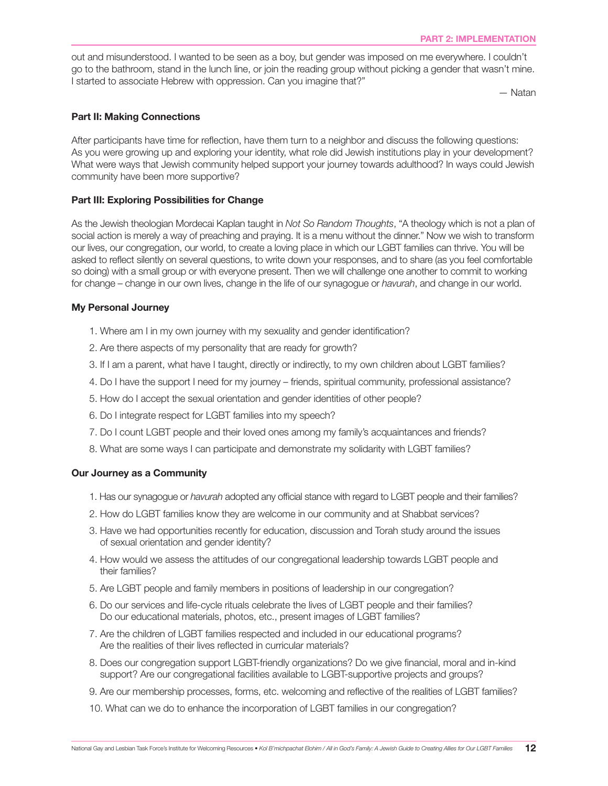out and misunderstood. I wanted to be seen as a boy, but gender was imposed on me everywhere. I couldn't go to the bathroom, stand in the lunch line, or join the reading group without picking a gender that wasn't mine. I started to associate Hebrew with oppression. Can you imagine that?"

— Natan

#### Part II: Making Connections

After participants have time for reflection, have them turn to a neighbor and discuss the following questions: As you were growing up and exploring your identity, what role did Jewish institutions play in your development? What were ways that Jewish community helped support your journey towards adulthood? In ways could Jewish community have been more supportive?

#### Part III: Exploring Possibilities for Change

As the Jewish theologian Mordecai Kaplan taught in *Not So Random Thoughts*, "A theology which is not a plan of social action is merely a way of preaching and praying. It is a menu without the dinner." Now we wish to transform our lives, our congregation, our world, to create a loving place in which our LGBT families can thrive. You will be asked to reflect silently on several questions, to write down your responses, and to share (as you feel comfortable so doing) with a small group or with everyone present. Then we will challenge one another to commit to working for change – change in our own lives, change in the life of our synagogue or *havurah*, and change in our world.

#### My Personal Journey

- 1. Where am I in my own journey with my sexuality and gender identification?
- 2. Are there aspects of my personality that are ready for growth?
- 3. If I am a parent, what have I taught, directly or indirectly, to my own children about LGBT families?
- 4. Do I have the support I need for my journey friends, spiritual community, professional assistance?
- 5. How do I accept the sexual orientation and gender identities of other people?
- 6. Do I integrate respect for LGBT families into my speech?
- 7. Do I count LGBT people and their loved ones among my family's acquaintances and friends?
- 8. What are some ways I can participate and demonstrate my solidarity with LGBT families?

#### Our Journey as a Community

- 1. Has our synagogue or *havurah* adopted any official stance with regard to LGBT people and their families?
- 2. How do LGBT families know they are welcome in our community and at Shabbat services?
- 3. Have we had opportunities recently for education, discussion and Torah study around the issues of sexual orientation and gender identity?
- 4. How would we assess the attitudes of our congregational leadership towards LGBT people and their families?
- 5. Are LGBT people and family members in positions of leadership in our congregation?
- 6. Do our services and life-cycle rituals celebrate the lives of LGBT people and their families? Do our educational materials, photos, etc., present images of LGBT families?
- 7. Are the children of LGBT families respected and included in our educational programs? Are the realities of their lives reflected in curricular materials?
- 8. Does our congregation support LGBT-friendly organizations? Do we give financial, moral and in-kind support? Are our congregational facilities available to LGBT-supportive projects and groups?
- 9. Are our membership processes, forms, etc. welcoming and reflective of the realities of LGBT families?
- 10. What can we do to enhance the incorporation of LGBT families in our congregation?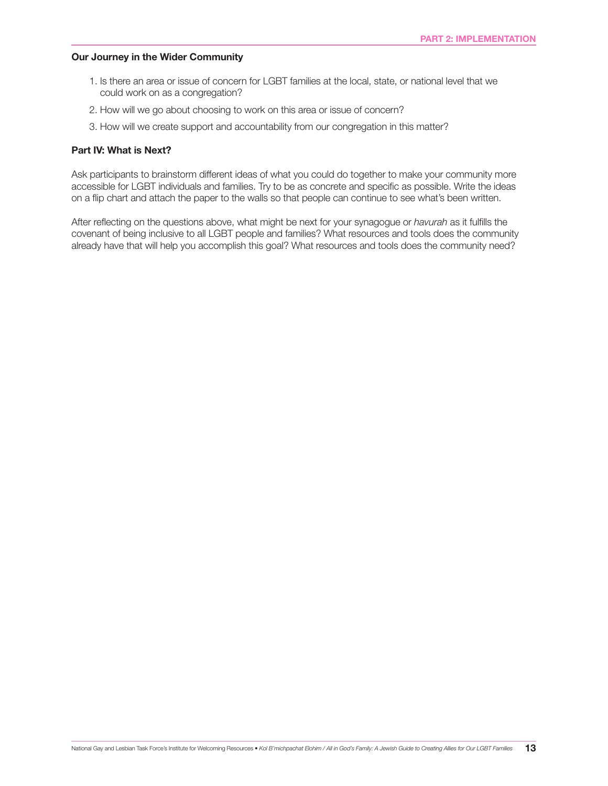#### Our Journey in the Wider Community

- 1. Is there an area or issue of concern for LGBT families at the local, state, or national level that we could work on as a congregation?
- 2. How will we go about choosing to work on this area or issue of concern?
- 3. How will we create support and accountability from our congregation in this matter?

#### Part IV: What is Next?

Ask participants to brainstorm different ideas of what you could do together to make your community more accessible for LGBT individuals and families. Try to be as concrete and specific as possible. Write the ideas on a flip chart and attach the paper to the walls so that people can continue to see what's been written.

After reflecting on the questions above, what might be next for your synagogue or *havurah* as it fulfills the covenant of being inclusive to all LGBT people and families? What resources and tools does the community already have that will help you accomplish this goal? What resources and tools does the community need?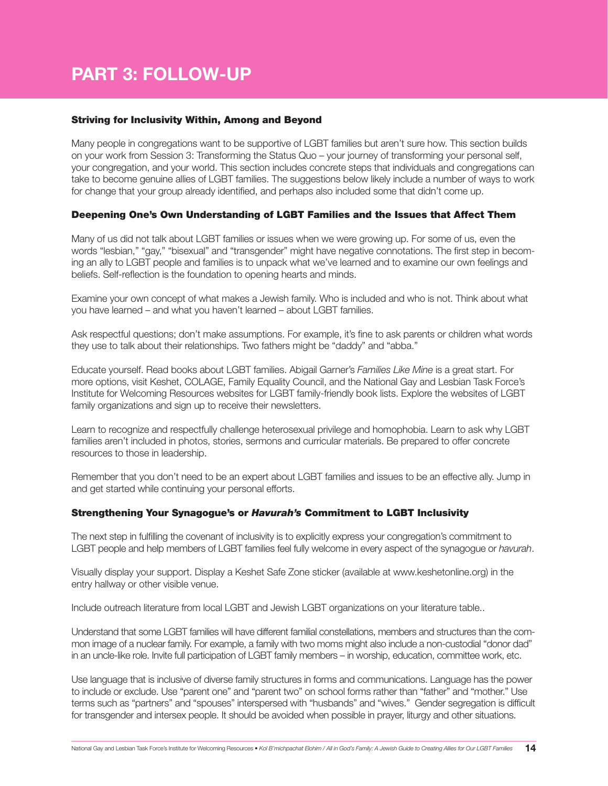## PART 3: FOLLOW-UP

#### Striving for Inclusivity Within, Among and Beyond

Many people in congregations want to be supportive of LGBT families but aren't sure how. This section builds on your work from Session 3: Transforming the Status Quo – your journey of transforming your personal self, your congregation, and your world. This section includes concrete steps that individuals and congregations can take to become genuine allies of LGBT families. The suggestions below likely include a number of ways to work for change that your group already identified, and perhaps also included some that didn't come up.

#### Deepening One's Own Understanding of LGBT Families and the Issues that Affect Them

Many of us did not talk about LGBT families or issues when we were growing up. For some of us, even the words "lesbian," "gay," "bisexual" and "transgender" might have negative connotations. The first step in becoming an ally to LGBT people and families is to unpack what we've learned and to examine our own feelings and beliefs. Self-reflection is the foundation to opening hearts and minds.

Examine your own concept of what makes a Jewish family. Who is included and who is not. Think about what you have learned – and what you haven't learned – about LGBT families.

Ask respectful questions; don't make assumptions. For example, it's fine to ask parents or children what words they use to talk about their relationships. Two fathers might be "daddy" and "abba."

Educate yourself. Read books about LGBT families. Abigail Garner's *Families Like Mine* is a great start. For more options, visit Keshet, COLAGE, Family Equality Council, and the National Gay and Lesbian Task Force's Institute for Welcoming Resources websites for LGBT family-friendly book lists. Explore the websites of LGBT family organizations and sign up to receive their newsletters.

Learn to recognize and respectfully challenge heterosexual privilege and homophobia. Learn to ask why LGBT families aren't included in photos, stories, sermons and curricular materials. Be prepared to offer concrete resources to those in leadership.

Remember that you don't need to be an expert about LGBT families and issues to be an effective ally. Jump in and get started while continuing your personal efforts.

#### Strengthening Your Synagogue's or *Havurah's* Commitment to LGBT Inclusivity

The next step in fulfilling the covenant of inclusivity is to explicitly express your congregation's commitment to LGBT people and help members of LGBT families feel fully welcome in every aspect of the synagogue or *havurah*.

Visually display your support. Display a Keshet Safe Zone sticker (available at www.keshetonline.org) in the entry hallway or other visible venue.

Include outreach literature from local LGBT and Jewish LGBT organizations on your literature table..

Understand that some LGBT families will have different familial constellations, members and structures than the common image of a nuclear family. For example, a family with two moms might also include a non-custodial "donor dad" in an uncle-like role. Invite full participation of LGBT family members – in worship, education, committee work, etc.

Use language that is inclusive of diverse family structures in forms and communications. Language has the power to include or exclude. Use "parent one" and "parent two" on school forms rather than "father" and "mother." Use terms such as "partners" and "spouses" interspersed with "husbands" and "wives." Gender segregation is difficult for transgender and intersex people. It should be avoided when possible in prayer, liturgy and other situations.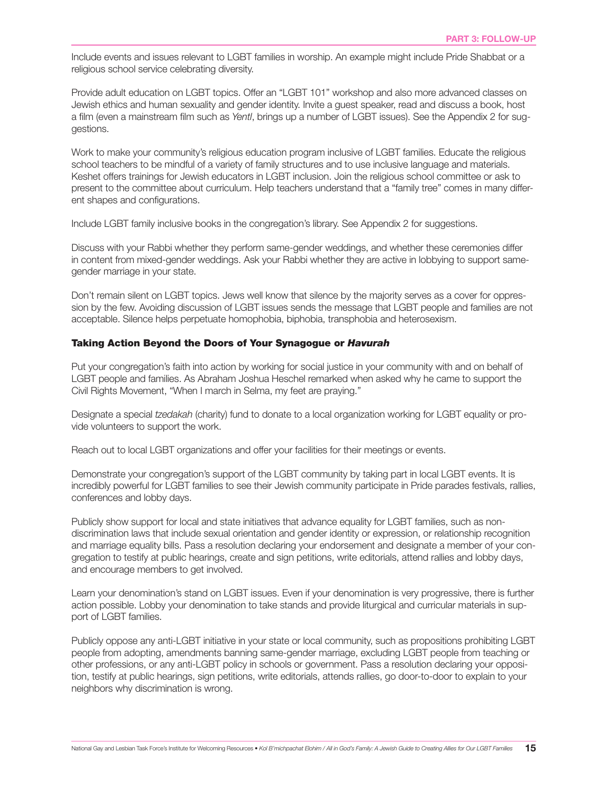Include events and issues relevant to LGBT families in worship. An example might include Pride Shabbat or a religious school service celebrating diversity.

Provide adult education on LGBT topics. Offer an "LGBT 101" workshop and also more advanced classes on Jewish ethics and human sexuality and gender identity. Invite a guest speaker, read and discuss a book, host a film (even a mainstream film such as *Yentl*, brings up a number of LGBT issues). See the Appendix 2 for suggestions.

Work to make your community's religious education program inclusive of LGBT families. Educate the religious school teachers to be mindful of a variety of family structures and to use inclusive language and materials. Keshet offers trainings for Jewish educators in LGBT inclusion. Join the religious school committee or ask to present to the committee about curriculum. Help teachers understand that a "family tree" comes in many different shapes and configurations.

Include LGBT family inclusive books in the congregation's library. See Appendix 2 for suggestions.

Discuss with your Rabbi whether they perform same-gender weddings, and whether these ceremonies differ in content from mixed-gender weddings. Ask your Rabbi whether they are active in lobbying to support samegender marriage in your state.

Don't remain silent on LGBT topics. Jews well know that silence by the majority serves as a cover for oppression by the few. Avoiding discussion of LGBT issues sends the message that LGBT people and families are not acceptable. Silence helps perpetuate homophobia, biphobia, transphobia and heterosexism.

#### Taking Action Beyond the Doors of Your Synagogue or *Havurah*

Put your congregation's faith into action by working for social justice in your community with and on behalf of LGBT people and families. As Abraham Joshua Heschel remarked when asked why he came to support the Civil Rights Movement, "When I march in Selma, my feet are praying."

Designate a special *tzedakah* (charity) fund to donate to a local organization working for LGBT equality or provide volunteers to support the work.

Reach out to local LGBT organizations and offer your facilities for their meetings or events.

Demonstrate your congregation's support of the LGBT community by taking part in local LGBT events. It is incredibly powerful for LGBT families to see their Jewish community participate in Pride parades festivals, rallies, conferences and lobby days.

Publicly show support for local and state initiatives that advance equality for LGBT families, such as nondiscrimination laws that include sexual orientation and gender identity or expression, or relationship recognition and marriage equality bills. Pass a resolution declaring your endorsement and designate a member of your congregation to testify at public hearings, create and sign petitions, write editorials, attend rallies and lobby days, and encourage members to get involved.

Learn your denomination's stand on LGBT issues. Even if your denomination is very progressive, there is further action possible. Lobby your denomination to take stands and provide liturgical and curricular materials in support of LGBT families.

Publicly oppose any anti-LGBT initiative in your state or local community, such as propositions prohibiting LGBT people from adopting, amendments banning same-gender marriage, excluding LGBT people from teaching or other professions, or any anti-LGBT policy in schools or government. Pass a resolution declaring your opposition, testify at public hearings, sign petitions, write editorials, attends rallies, go door-to-door to explain to your neighbors why discrimination is wrong.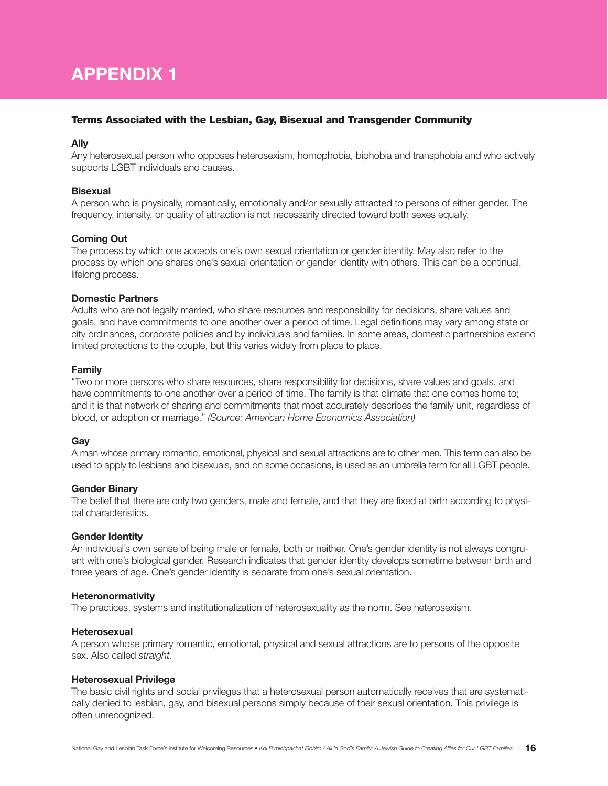## APPENDIX 1

#### Terms Associated with the Lesbian, Gay, Bisexual and Transgender Community

#### Ally

Any heterosexual person who opposes heterosexism, homophobia, biphobia and transphobia and who actively supports LGBT individuals and causes.

#### **Bisexual**

A person who is physically, romantically, emotionally and/or sexually attracted to persons of either gender. The frequency, intensity, or quality of attraction is not necessarily directed toward both sexes equally.

#### Coming Out

The process by which one accepts one's own sexual orientation or gender identity. May also refer to the process by which one shares one's sexual orientation or gender identity with others. This can be a continual, lifelong process.

#### Domestic Partners

Adults who are not legally married, who share resources and responsibility for decisions, share values and goals, and have commitments to one another over a period of time. Legal definitions may vary among state or city ordinances, corporate policies and by individuals and families. In some areas, domestic partnerships extend limited protections to the couple, but this varies widely from place to place.

#### Family

"Two or more persons who share resources, share responsibility for decisions, share values and goals, and have commitments to one another over a period of time. The family is that climate that one comes home to; and it is that network of sharing and commitments that most accurately describes the family unit, regardless of blood, or adoption or marriage." *(Source: American Home Economics Association)*

#### Gay

A man whose primary romantic, emotional, physical and sexual attractions are to other men. This term can also be used to apply to lesbians and bisexuals, and on some occasions, is used as an umbrella term for all LGBT people.

#### Gender Binary

The belief that there are only two genders, male and female, and that they are fixed at birth according to physical characteristics.

#### Gender Identity

An individual's own sense of being male or female, both or neither. One's gender identity is not always congruent with one's biological gender. Research indicates that gender identity develops sometime between birth and three years of age. One's gender identity is separate from one's sexual orientation.

#### Heteronormativity

The practices, systems and institutionalization of heterosexuality as the norm. See heterosexism.

#### **Heterosexual**

A person whose primary romantic, emotional, physical and sexual attractions are to persons of the opposite sex. Also called *straight*.

#### Heterosexual Privilege

The basic civil rights and social privileges that a heterosexual person automatically receives that are systematically denied to lesbian, gay, and bisexual persons simply because of their sexual orientation. This privilege is often unrecognized.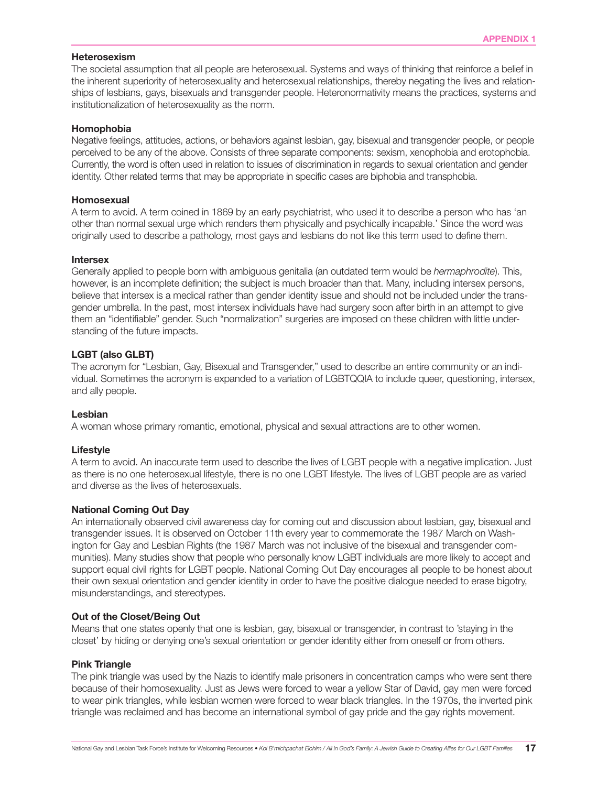#### Heterosexism

The societal assumption that all people are heterosexual. Systems and ways of thinking that reinforce a belief in the inherent superiority of heterosexuality and heterosexual relationships, thereby negating the lives and relationships of lesbians, gays, bisexuals and transgender people. Heteronormativity means the practices, systems and institutionalization of heterosexuality as the norm.

#### Homophobia

Negative feelings, attitudes, actions, or behaviors against lesbian, gay, bisexual and transgender people, or people perceived to be any of the above. Consists of three separate components: sexism, xenophobia and erotophobia. Currently, the word is often used in relation to issues of discrimination in regards to sexual orientation and gender identity. Other related terms that may be appropriate in specific cases are biphobia and transphobia.

#### Homosexual

A term to avoid. A term coined in 1869 by an early psychiatrist, who used it to describe a person who has 'an other than normal sexual urge which renders them physically and psychically incapable.' Since the word was originally used to describe a pathology, most gays and lesbians do not like this term used to define them.

#### Intersex

Generally applied to people born with ambiguous genitalia (an outdated term would be *hermaphrodite*). This, however, is an incomplete definition; the subject is much broader than that. Many, including intersex persons, believe that intersex is a medical rather than gender identity issue and should not be included under the transgender umbrella. In the past, most intersex individuals have had surgery soon after birth in an attempt to give them an "identifiable" gender. Such "normalization" surgeries are imposed on these children with little understanding of the future impacts.

#### LGBT (also GLBT)

The acronym for "Lesbian, Gay, Bisexual and Transgender," used to describe an entire community or an individual. Sometimes the acronym is expanded to a variation of LGBTQQIA to include queer, questioning, intersex, and ally people.

#### Lesbian

A woman whose primary romantic, emotional, physical and sexual attractions are to other women.

#### Lifestyle

A term to avoid. An inaccurate term used to describe the lives of LGBT people with a negative implication. Just as there is no one heterosexual lifestyle, there is no one LGBT lifestyle. The lives of LGBT people are as varied and diverse as the lives of heterosexuals.

#### National Coming Out Day

An internationally observed civil awareness day for coming out and discussion about lesbian, gay, bisexual and transgender issues. It is observed on October 11th every year to commemorate the 1987 March on Washington for Gay and Lesbian Rights (the 1987 March was not inclusive of the bisexual and transgender communities). Many studies show that people who personally know LGBT individuals are more likely to accept and support equal civil rights for LGBT people. National Coming Out Day encourages all people to be honest about their own sexual orientation and gender identity in order to have the positive dialogue needed to erase bigotry, misunderstandings, and stereotypes.

#### Out of the Closet/Being Out

Means that one states openly that one is lesbian, gay, bisexual or transgender, in contrast to 'staying in the closet' by hiding or denying one's sexual orientation or gender identity either from oneself or from others.

#### Pink Triangle

The pink triangle was used by the Nazis to identify male prisoners in concentration camps who were sent there because of their homosexuality. Just as Jews were forced to wear a yellow Star of David, gay men were forced to wear pink triangles, while lesbian women were forced to wear black triangles. In the 1970s, the inverted pink triangle was reclaimed and has become an international symbol of gay pride and the gay rights movement.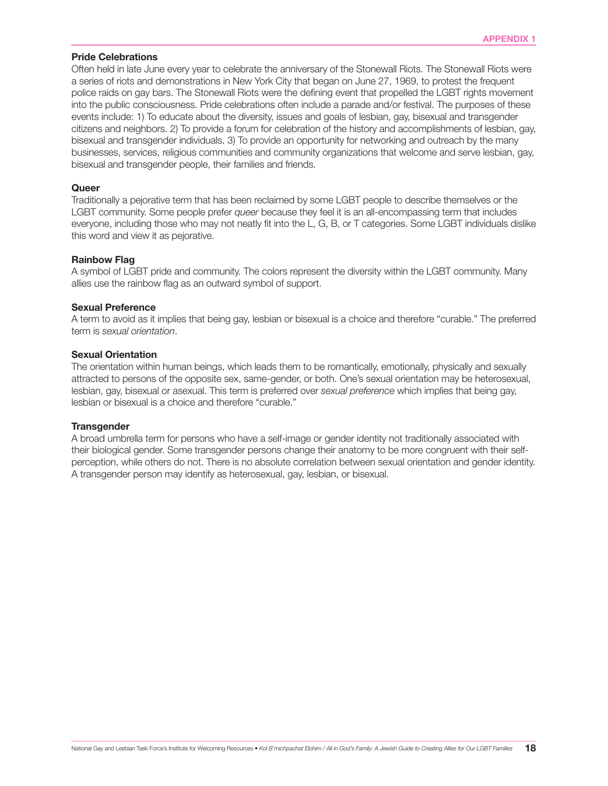#### Pride Celebrations

Often held in late June every year to celebrate the anniversary of the Stonewall Riots. The Stonewall Riots were a series of riots and demonstrations in New York City that began on June 27, 1969, to protest the frequent police raids on gay bars. The Stonewall Riots were the defining event that propelled the LGBT rights movement into the public consciousness. Pride celebrations often include a parade and/or festival. The purposes of these events include: 1) To educate about the diversity, issues and goals of lesbian, gay, bisexual and transgender citizens and neighbors. 2) To provide a forum for celebration of the history and accomplishments of lesbian, gay, bisexual and transgender individuals. 3) To provide an opportunity for networking and outreach by the many businesses, services, religious communities and community organizations that welcome and serve lesbian, gay, bisexual and transgender people, their families and friends.

#### Queer

Traditionally a pejorative term that has been reclaimed by some LGBT people to describe themselves or the LGBT community. Some people prefer *queer* because they feel it is an all-encompassing term that includes everyone, including those who may not neatly fit into the L, G, B, or T categories. Some LGBT individuals dislike this word and view it as pejorative.

#### Rainbow Flag

A symbol of LGBT pride and community. The colors represent the diversity within the LGBT community. Many allies use the rainbow flag as an outward symbol of support.

#### Sexual Preference

A term to avoid as it implies that being gay, lesbian or bisexual is a choice and therefore "curable." The preferred term is *sexual orientation*.

#### Sexual Orientation

The orientation within human beings, which leads them to be romantically, emotionally, physically and sexually attracted to persons of the opposite sex, same-gender, or both. One's sexual orientation may be heterosexual, lesbian, gay, bisexual or asexual. This term is preferred over *sexual preference* which implies that being gay, lesbian or bisexual is a choice and therefore "curable."

#### **Transgender**

A broad umbrella term for persons who have a self-image or gender identity not traditionally associated with their biological gender. Some transgender persons change their anatomy to be more congruent with their selfperception, while others do not. There is no absolute correlation between sexual orientation and gender identity. A transgender person may identify as heterosexual, gay, lesbian, or bisexual.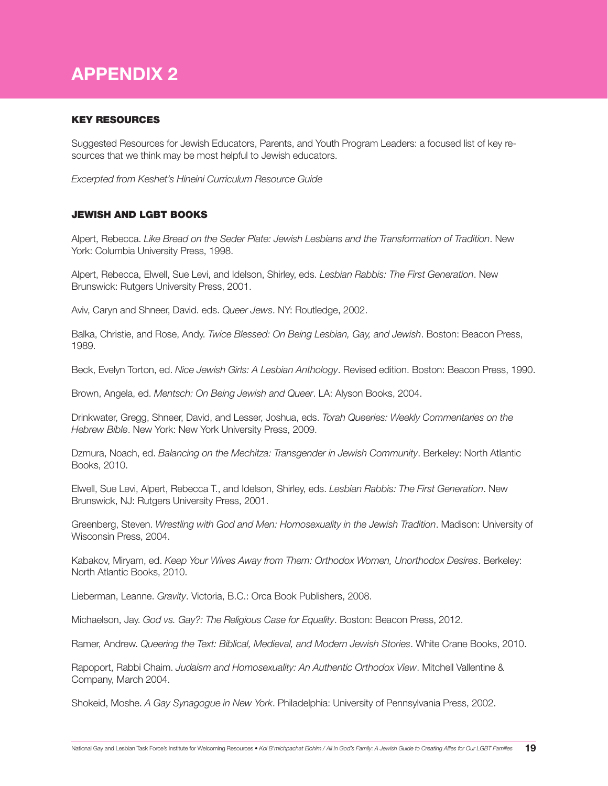## APPENDIX 2

#### KEY RESOURCES

Suggested Resources for Jewish Educators, Parents, and Youth Program Leaders: a focused list of key resources that we think may be most helpful to Jewish educators.

*Excerpted from Keshet's Hineini Curriculum Resource Guide*

#### JEWISH AND LGBT BOOKS

Alpert, Rebecca. *Like Bread on the Seder Plate: Jewish Lesbians and the Transformation of Tradition*. New York: Columbia University Press, 1998.

Alpert, Rebecca, Elwell, Sue Levi, and Idelson, Shirley, eds. *Lesbian Rabbis: The First Generation*. New Brunswick: Rutgers University Press, 2001.

Aviv, Caryn and Shneer, David. eds. *Queer Jews*. NY: Routledge, 2002.

Balka, Christie, and Rose, Andy. *Twice Blessed: On Being Lesbian, Gay, and Jewish*. Boston: Beacon Press, 1989.

Beck, Evelyn Torton, ed. *Nice Jewish Girls: A Lesbian Anthology*. Revised edition. Boston: Beacon Press, 1990.

Brown, Angela, ed. *Mentsch: On Being Jewish and Queer*. LA: Alyson Books, 2004.

Drinkwater, Gregg, Shneer, David, and Lesser, Joshua, eds. *Torah Queeries: Weekly Commentaries on the Hebrew Bible*. New York: New York University Press, 2009.

Dzmura, Noach, ed. *Balancing on the Mechitza: Transgender in Jewish Community*. Berkeley: North Atlantic Books, 2010.

Elwell, Sue Levi, Alpert, Rebecca T., and Idelson, Shirley, eds. *Lesbian Rabbis: The First Generation*. New Brunswick, NJ: Rutgers University Press, 2001.

Greenberg, Steven. *Wrestling with God and Men: Homosexuality in the Jewish Tradition*. Madison: University of Wisconsin Press, 2004.

Kabakov, Miryam, ed. *Keep Your Wives Away from Them: Orthodox Women, Unorthodox Desires*. Berkeley: North Atlantic Books, 2010.

Lieberman, Leanne. *Gravity*. Victoria, B.C.: Orca Book Publishers, 2008.

Michaelson, Jay. *God vs. Gay?: The Religious Case for Equality*. Boston: Beacon Press, 2012.

Ramer, Andrew. *Queering the Text: Biblical, Medieval, and Modern Jewish Stories*. White Crane Books, 2010.

Rapoport, Rabbi Chaim. *Judaism and Homosexuality: An Authentic Orthodox View*. Mitchell Vallentine & Company, March 2004.

Shokeid, Moshe. *A Gay Synagogue in New York*. Philadelphia: University of Pennsylvania Press, 2002.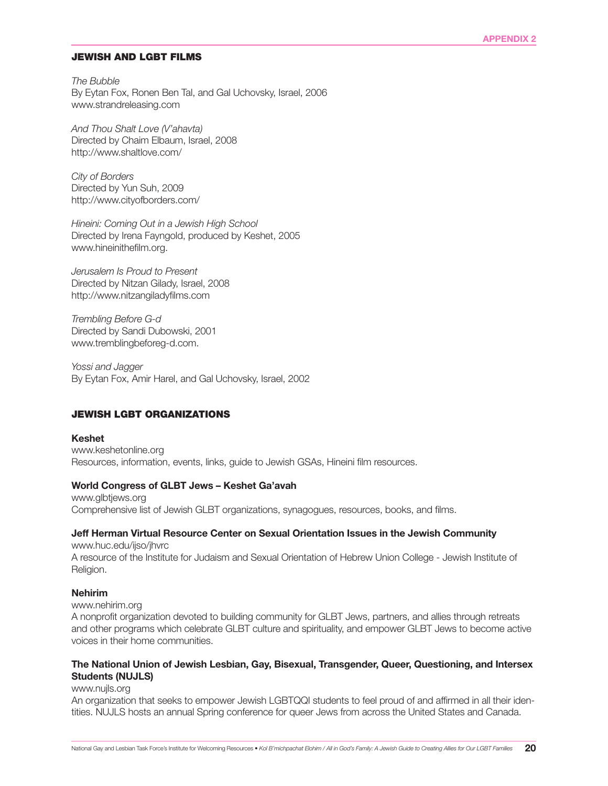#### JEWISH AND LGBT FILMS

*The Bubble* By Eytan Fox, Ronen Ben Tal, and Gal Uchovsky, Israel, 2006 www.strandreleasing.com

*And Thou Shalt Love (V'ahavta)* Directed by Chaim Elbaum, Israel, 2008 http://www.shaltlove.com/

*City of Borders* Directed by Yun Suh, 2009 http://www.cityofborders.com/

*Hineini: Coming Out in a Jewish High School* Directed by Irena Fayngold, produced by Keshet, 2005 www.hineinithefilm.org.

*Jerusalem Is Proud to Present* Directed by Nitzan Gilady, Israel, 2008 http://www.nitzangiladyfilms.com

*Trembling Before G-d* Directed by Sandi Dubowski, 2001 www.tremblingbeforeg-d.com.

*Yossi and Jagger* By Eytan Fox, Amir Harel, and Gal Uchovsky, Israel, 2002

#### JEWISH LGBT ORGANIZATIONS

#### Keshet

www.keshetonline.org Resources, information, events, links, guide to Jewish GSAs, Hineini film resources.

#### World Congress of GLBT Jews – Keshet Ga'avah

www.glbtjews.org Comprehensive list of Jewish GLBT organizations, synagogues, resources, books, and films.

#### Jeff Herman Virtual Resource Center on Sexual Orientation Issues in the Jewish Community

www.huc.edu/ijso/jhvrc

A resource of the Institute for Judaism and Sexual Orientation of Hebrew Union College - Jewish Institute of Religion.

#### Nehirim

www.nehirim.org

A nonprofit organization devoted to building community for GLBT Jews, partners, and allies through retreats and other programs which celebrate GLBT culture and spirituality, and empower GLBT Jews to become active voices in their home communities.

#### The National Union of Jewish Lesbian, Gay, Bisexual, Transgender, Queer, Questioning, and Intersex Students (NUJLS)

#### www.nujls.org

An organization that seeks to empower Jewish LGBTQQI students to feel proud of and affirmed in all their identities. NUJLS hosts an annual Spring conference for queer Jews from across the United States and Canada.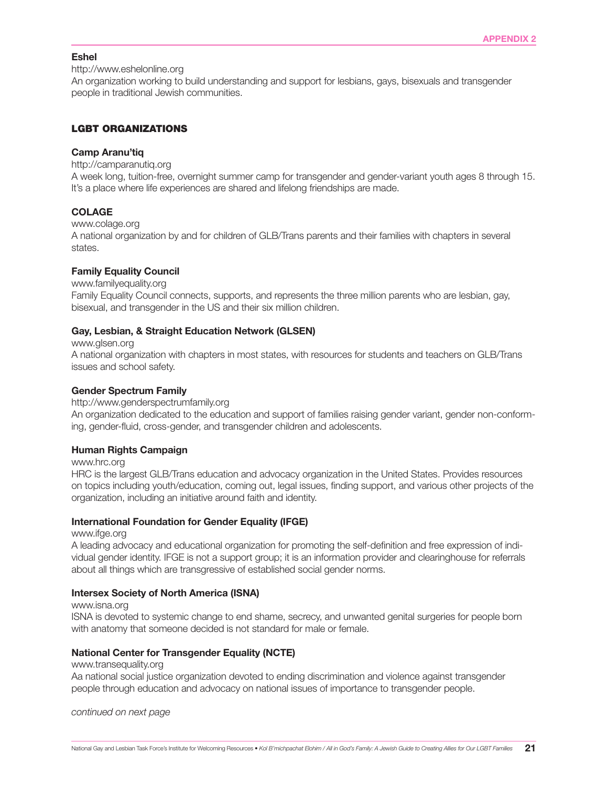#### Eshel

http://www.eshelonline.org

An organization working to build understanding and support for lesbians, gays, bisexuals and transgender people in traditional Jewish communities.

#### LGBT ORGANIZATIONS

#### Camp Aranu'tiq

http://camparanutiq.org

A week long, tuition-free, overnight summer camp for transgender and gender-variant youth ages 8 through 15. It's a place where life experiences are shared and lifelong friendships are made.

#### COLAGE

www.colage.org

A national organization by and for children of GLB/Trans parents and their families with chapters in several states.

#### Family Equality Council

www.familyequality.org Family Equality Council connects, supports, and represents the three million parents who are lesbian, gay, bisexual, and transgender in the US and their six million children.

#### Gay, Lesbian, & Straight Education Network (GLSEN)

www.glsen.org

A national organization with chapters in most states, with resources for students and teachers on GLB/Trans issues and school safety.

#### Gender Spectrum Family

#### http://www.genderspectrumfamily.org

An organization dedicated to the education and support of families raising gender variant, gender non-conforming, gender-fluid, cross-gender, and transgender children and adolescents.

#### Human Rights Campaign

www.hrc.org

HRC is the largest GLB/Trans education and advocacy organization in the United States. Provides resources on topics including youth/education, coming out, legal issues, finding support, and various other projects of the organization, including an initiative around faith and identity.

#### International Foundation for Gender Equality (IFGE)

www.ifge.org

A leading advocacy and educational organization for promoting the self-definition and free expression of individual gender identity. IFGE is not a support group; it is an information provider and clearinghouse for referrals about all things which are transgressive of established social gender norms.

#### Intersex Society of North America (ISNA)

www.isna.org

ISNA is devoted to systemic change to end shame, secrecy, and unwanted genital surgeries for people born with anatomy that someone decided is not standard for male or female.

#### National Center for Transgender Equality (NCTE)

#### www.transequality.org

Aa national social justice organization devoted to ending discrimination and violence against transgender people through education and advocacy on national issues of importance to transgender people.

*continued on next page*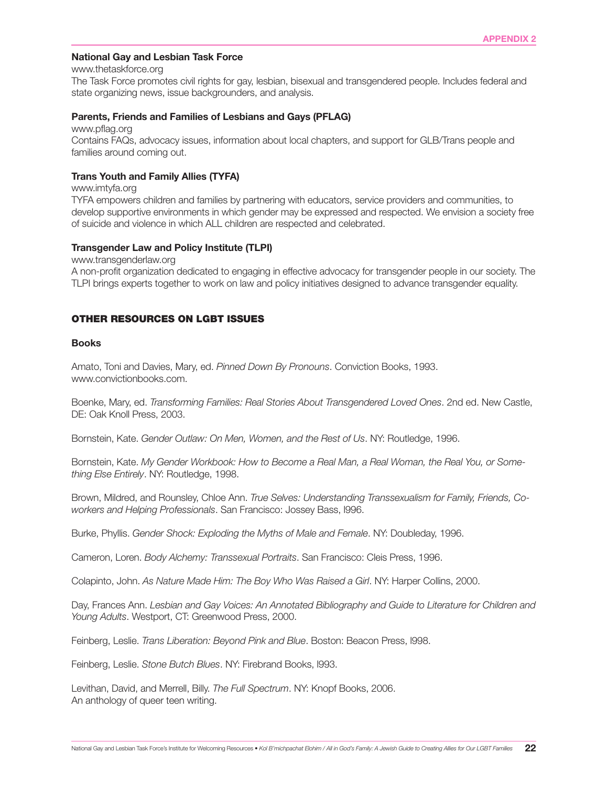#### National Gay and Lesbian Task Force

www.thetaskforce.org

The Task Force promotes civil rights for gay, lesbian, bisexual and transgendered people. Includes federal and state organizing news, issue backgrounders, and analysis.

#### Parents, Friends and Families of Lesbians and Gays (PFLAG)

www.pflag.org

Contains FAQs, advocacy issues, information about local chapters, and support for GLB/Trans people and families around coming out.

#### Trans Youth and Family Allies (TYFA)

www.imtyfa.org

TYFA empowers children and families by partnering with educators, service providers and communities, to develop supportive environments in which gender may be expressed and respected. We envision a society free of suicide and violence in which ALL children are respected and celebrated.

#### Transgender Law and Policy Institute (TLPI)

www.transgenderlaw.org

A non-profit organization dedicated to engaging in effective advocacy for transgender people in our society. The TLPI brings experts together to work on law and policy initiatives designed to advance transgender equality.

#### OTHER RESOURCES ON LGBT ISSUES

#### Books

Amato, Toni and Davies, Mary, ed. *Pinned Down By Pronouns*. Conviction Books, 1993. www.convictionbooks.com.

Boenke, Mary, ed. *Transforming Families: Real Stories About Transgendered Loved Ones*. 2nd ed. New Castle, DE: Oak Knoll Press, 2003.

Bornstein, Kate. *Gender Outlaw: On Men, Women, and the Rest of Us*. NY: Routledge, 1996.

Bornstein, Kate. *My Gender Workbook: How to Become a Real Man, a Real Woman, the Real You, or Something Else Entirely*. NY: Routledge, 1998.

Brown, Mildred, and Rounsley, Chloe Ann. *True Selves: Understanding Transsexualism for Family, Friends, Coworkers and Helping Professionals*. San Francisco: Jossey Bass, l996.

Burke, Phyllis. *Gender Shock: Exploding the Myths of Male and Female*. NY: Doubleday, 1996.

Cameron, Loren. *Body Alchemy: Transsexual Portraits*. San Francisco: Cleis Press, 1996.

Colapinto, John. *As Nature Made Him: The Boy Who Was Raised a Girl*. NY: Harper Collins, 2000.

Day, Frances Ann. *Lesbian and Gay Voices: An Annotated Bibliography and Guide to Literature for Children and Young Adults*. Westport, CT: Greenwood Press, 2000.

Feinberg, Leslie. *Trans Liberation: Beyond Pink and Blue*. Boston: Beacon Press, l998.

Feinberg, Leslie. *Stone Butch Blues*. NY: Firebrand Books, l993.

Levithan, David, and Merrell, Billy. *The Full Spectrum*. NY: Knopf Books, 2006. An anthology of queer teen writing.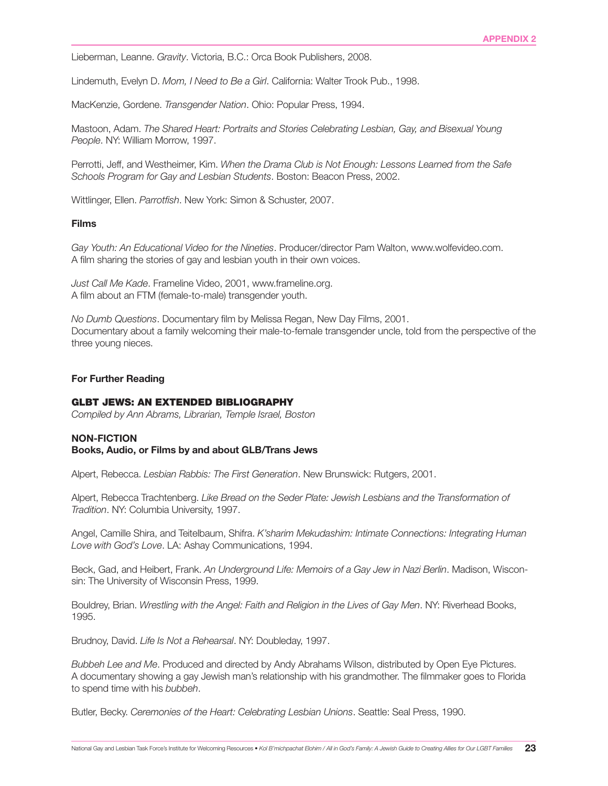Lieberman, Leanne. *Gravity*. Victoria, B.C.: Orca Book Publishers, 2008.

Lindemuth, Evelyn D. *Mom, I Need to Be a Girl*. California: Walter Trook Pub., 1998.

MacKenzie, Gordene. *Transgender Nation*. Ohio: Popular Press, 1994.

Mastoon, Adam. *The Shared Heart: Portraits and Stories Celebrating Lesbian, Gay, and Bisexual Young People*. NY: William Morrow, 1997.

Perrotti, Jeff, and Westheimer, Kim. *When the Drama Club is Not Enough: Lessons Learned from the Safe Schools Program for Gay and Lesbian Students*. Boston: Beacon Press, 2002.

Wittlinger, Ellen. *Parrotfish*. New York: Simon & Schuster, 2007.

#### Films

*Gay Youth: An Educational Video for the Nineties*. Producer/director Pam Walton, www.wolfevideo.com. A film sharing the stories of gay and lesbian youth in their own voices.

*Just Call Me Kade*. Frameline Video, 2001, www.frameline.org. A film about an FTM (female-to-male) transgender youth.

*No Dumb Questions*. Documentary film by Melissa Regan, New Day Films, 2001. Documentary about a family welcoming their male-to-female transgender uncle, told from the perspective of the three young nieces.

#### For Further Reading

#### GLBT JEWS: AN EXTENDED BIBLIOGRAPHY

*Compiled by Ann Abrams, Librarian, Temple Israel, Boston*

#### NON-FICTION

#### Books, Audio, or Films by and about GLB/Trans Jews

Alpert, Rebecca. *Lesbian Rabbis: The First Generation*. New Brunswick: Rutgers, 2001.

Alpert, Rebecca Trachtenberg. *Like Bread on the Seder Plate: Jewish Lesbians and the Transformation of Tradition*. NY: Columbia University, 1997.

Angel, Camille Shira, and Teitelbaum, Shifra. *K'sharim Mekudashim: Intimate Connections: Integrating Human Love with God's Love*. LA: Ashay Communications, 1994.

Beck, Gad, and Heibert, Frank. *An Underground Life: Memoirs of a Gay Jew in Nazi Berlin*. Madison, Wisconsin: The University of Wisconsin Press, 1999.

Bouldrey, Brian. *Wrestling with the Angel: Faith and Religion in the Lives of Gay Men*. NY: Riverhead Books, 1995.

Brudnoy, David. *Life Is Not a Rehearsal*. NY: Doubleday, 1997.

*Bubbeh Lee and Me*. Produced and directed by Andy Abrahams Wilson, distributed by Open Eye Pictures. A documentary showing a gay Jewish man's relationship with his grandmother. The filmmaker goes to Florida to spend time with his *bubbeh*.

Butler, Becky. *Ceremonies of the Heart: Celebrating Lesbian Unions*. Seattle: Seal Press, 1990.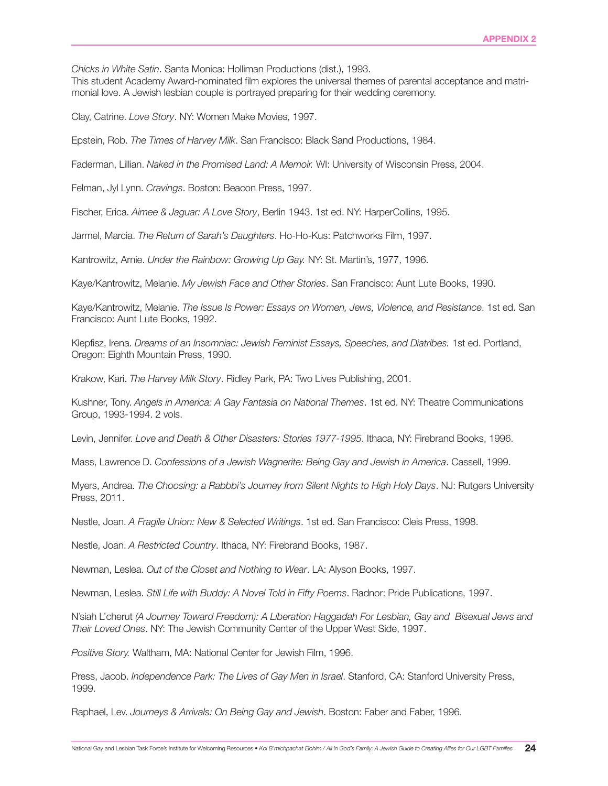*Chicks in White Satin*. Santa Monica: Holliman Productions (dist.), 1993.

This student Academy Award-nominated film explores the universal themes of parental acceptance and matrimonial love. A Jewish lesbian couple is portrayed preparing for their wedding ceremony.

Clay, Catrine. *Love Story*. NY: Women Make Movies, 1997.

Epstein, Rob. *The Times of Harvey Milk*. San Francisco: Black Sand Productions, 1984.

Faderman, Lillian. *Naked in the Promised Land: A Memoir.* WI: University of Wisconsin Press, 2004.

Felman, Jyl Lynn. *Cravings*. Boston: Beacon Press, 1997.

Fischer, Erica. *Aimee & Jaguar: A Love Story*, Berlin 1943. 1st ed. NY: HarperCollins, 1995.

Jarmel, Marcia. *The Return of Sarah's Daughters*. Ho-Ho-Kus: Patchworks Film, 1997.

Kantrowitz, Arnie. *Under the Rainbow: Growing Up Gay.* NY: St. Martin's, 1977, 1996.

Kaye/Kantrowitz, Melanie. *My Jewish Face and Other Stories*. San Francisco: Aunt Lute Books, 1990.

Kaye/Kantrowitz, Melanie. *The Issue Is Power: Essays on Women, Jews, Violence, and Resistance*. 1st ed. San Francisco: Aunt Lute Books, 1992.

Klepfisz, Irena. *Dreams of an Insomniac: Jewish Feminist Essays, Speeches, and Diatribes.* 1st ed. Portland, Oregon: Eighth Mountain Press, 1990.

Krakow, Kari. *The Harvey Milk Story*. Ridley Park, PA: Two Lives Publishing, 2001.

Kushner, Tony. *Angels in America: A Gay Fantasia on National Themes*. 1st ed. NY: Theatre Communications Group, 1993-1994. 2 vols.

Levin, Jennifer. *Love and Death & Other Disasters: Stories 1977-1995*. Ithaca, NY: Firebrand Books, 1996.

Mass, Lawrence D. *Confessions of a Jewish Wagnerite: Being Gay and Jewish in America*. Cassell, 1999.

Myers, Andrea. *The Choosing: a Rabbbi's Journey from Silent Nights to High Holy Days*. NJ: Rutgers University Press, 2011.

Nestle, Joan. *A Fragile Union: New & Selected Writings*. 1st ed. San Francisco: Cleis Press, 1998.

Nestle, Joan. *A Restricted Country*. Ithaca, NY: Firebrand Books, 1987.

Newman, Leslea. *Out of the Closet and Nothing to Wear*. LA: Alyson Books, 1997.

Newman, Leslea. *Still Life with Buddy: A Novel Told in Fifty Poems*. Radnor: Pride Publications, 1997.

N'siah L'cherut *(A Journey Toward Freedom): A Liberation Haggadah For Lesbian, Gay and Bisexual Jews and Their Loved Ones*. NY: The Jewish Community Center of the Upper West Side, 1997.

*Positive Story.* Waltham, MA: National Center for Jewish Film, 1996.

Press, Jacob. *Independence Park: The Lives of Gay Men in Israel*. Stanford, CA: Stanford University Press, 1999.

Raphael, Lev. *Journeys & Arrivals: On Being Gay and Jewish*. Boston: Faber and Faber, 1996.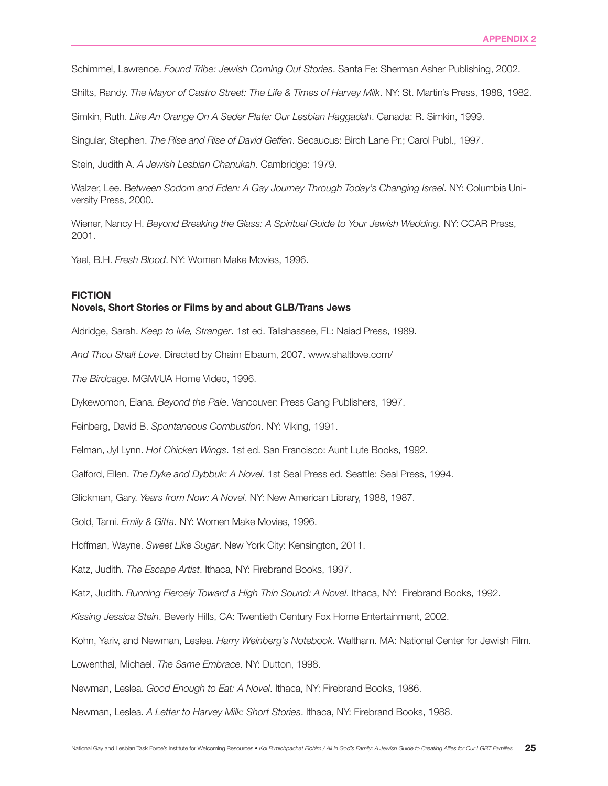Schimmel, Lawrence. *Found Tribe: Jewish Coming Out Stories*. Santa Fe: Sherman Asher Publishing, 2002.

Shilts, Randy. *The Mayor of Castro Street: The Life & Times of Harvey Milk*. NY: St. Martin's Press, 1988, 1982.

Simkin, Ruth. *Like An Orange On A Seder Plate: Our Lesbian Haggadah*. Canada: R. Simkin, 1999.

Singular, Stephen. *The Rise and Rise of David Geffen*. Secaucus: Birch Lane Pr.; Carol Publ., 1997.

Stein, Judith A. *A Jewish Lesbian Chanukah*. Cambridge: 1979.

Walzer, Lee. B*etween Sodom and Eden: A Gay Journey Through Today's Changing Israel*. NY: Columbia University Press, 2000.

Wiener, Nancy H. *Beyond Breaking the Glass: A Spiritual Guide to Your Jewish Wedding*. NY: CCAR Press, 2001.

Yael, B.H. *Fresh Blood*. NY: Women Make Movies, 1996.

#### FICTION

#### Novels, Short Stories or Films by and about GLB/Trans Jews

Aldridge, Sarah. *Keep to Me, Stranger*. 1st ed. Tallahassee, FL: Naiad Press, 1989.

*And Thou Shalt Love*. Directed by Chaim Elbaum, 2007. www.shaltlove.com/

*The Birdcage*. MGM/UA Home Video, 1996.

Dykewomon, Elana. *Beyond the Pale*. Vancouver: Press Gang Publishers, 1997.

Feinberg, David B. *Spontaneous Combustion*. NY: Viking, 1991.

Felman, Jyl Lynn. *Hot Chicken Wings*. 1st ed. San Francisco: Aunt Lute Books, 1992.

Galford, Ellen. *The Dyke and Dybbuk: A Novel*. 1st Seal Press ed. Seattle: Seal Press, 1994.

Glickman, Gary. *Years from Now: A Novel*. NY: New American Library, 1988, 1987.

Gold, Tami. *Emily & Gitta*. NY: Women Make Movies, 1996.

Hoffman, Wayne. *Sweet Like Sugar*. New York City: Kensington, 2011.

Katz, Judith. *The Escape Artist*. Ithaca, NY: Firebrand Books, 1997.

Katz, Judith. *Running Fiercely Toward a High Thin Sound: A Novel*. Ithaca, NY: Firebrand Books, 1992.

*Kissing Jessica Stein*. Beverly Hills, CA: Twentieth Century Fox Home Entertainment, 2002.

Kohn, Yariv, and Newman, Leslea. *Harry Weinberg's Notebook*. Waltham. MA: National Center for Jewish Film.

Lowenthal, Michael. *The Same Embrace*. NY: Dutton, 1998.

Newman, Leslea. *Good Enough to Eat: A Novel*. Ithaca, NY: Firebrand Books, 1986.

Newman, Leslea. *A Letter to Harvey Milk: Short Stories*. Ithaca, NY: Firebrand Books, 1988.